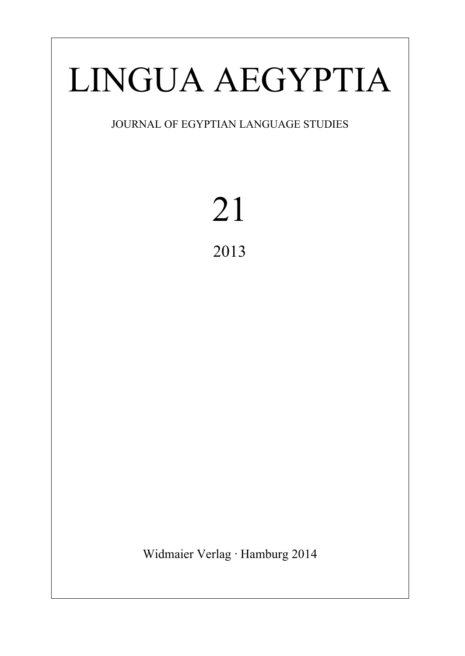# LINGUA AEGYPTIA

## JOURNAL OF EGYPTIAN LANGUAGE STUDIES

## 21 2013

Widmaier Verlag ∙ Hamburg 2014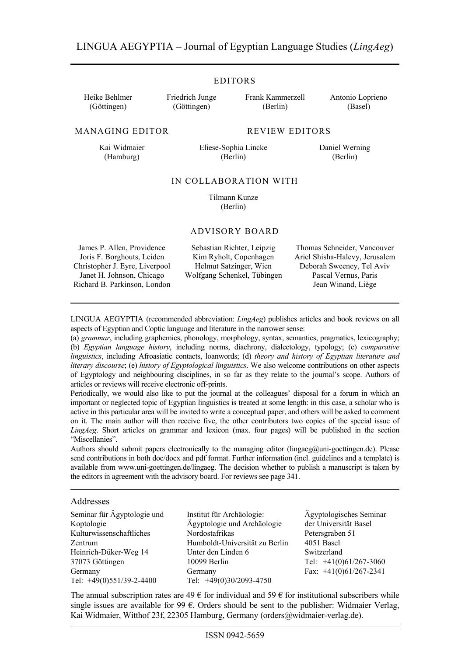#### EDITORS

Heike Behlmer (Göttingen)

Friedrich Junge (Göttingen)

Frank Kammerzell (Berlin)

Antonio Loprieno (Basel)

MANAGING EDITOR REVIEW EDITORS

Kai Widmaier (Hamburg)

Eliese-Sophia Lincke (Berlin)

Daniel Werning (Berlin)

#### IN COLLABORATION WITH

 Tilmann Kunze (Berlin)

#### ADVISORY BOARD

James P. Allen, Providence Joris F. Borghouts, Leiden Christopher J. Eyre, Liverpool Janet H. Johnson, Chicago Richard B. Parkinson, London

Sebastian Richter, Leipzig Kim Ryholt, Copenhagen Helmut Satzinger, Wien Wolfgang Schenkel, Tübingen

Thomas Schneider, Vancouver Ariel Shisha-Halevy, Jerusalem Deborah Sweeney, Tel Aviv Pascal Vernus, Paris Jean Winand, Liège

LINGUA AEGYPTIA (recommended abbreviation: *LingAeg*) publishes articles and book reviews on all aspects of Egyptian and Coptic language and literature in the narrower sense:

(a) *grammar*, including graphemics, phonology, morphology, syntax, semantics, pragmatics, lexicography; (b) *Egyptian language history*, including norms, diachrony, dialectology, typology; (c) *comparative linguistics*, including Afroasiatic contacts, loanwords; (d) *theory and history of Egyptian literature and literary discourse*; (e) *history of Egyptological linguistics*. We also welcome contributions on other aspects of Egyptology and neighbouring disciplines, in so far as they relate to the journal's scope. Authors of articles or reviews will receive electronic off-prints.

Periodically, we would also like to put the journal at the colleagues' disposal for a forum in which an important or neglected topic of Egyptian linguistics is treated at some length: in this case, a scholar who is active in this particular area will be invited to write a conceptual paper, and others will be asked to comment on it. The main author will then receive five, the other contributors two copies of the special issue of *LingAeg*. Short articles on grammar and lexicon (max. four pages) will be published in the section "Miscellanies".

Authors should submit papers electronically to the managing editor (lingaeg@uni-goettingen.de). Please send contributions in both doc/docx and pdf format. Further information (incl. guidelines and a template) is available from www.uni-goettingen.de/lingaeg. The decision whether to publish a manuscript is taken by the editors in agreement with the advisory board. For reviews see page 341.

#### Addresses

Seminar für Ägyptologie und Koptologie Kulturwissenschaftliches Zentrum Heinrich-Düker-Weg 14 37073 Göttingen Germany Tel: +49(0)551/39-2-4400

Institut für Archäologie: Ägyptologie und Archäologie Nordostafrikas Humboldt-Universität zu Berlin Unter den Linden 6 10099 Berlin Germany Tel: +49(0)30/2093-4750

Ägyptologisches Seminar der Universität Basel Petersgraben 51 4051 Basel Switzerland Tel: +41(0)61/267-3060 Fax: +41(0)61/267-2341

The annual subscription rates are  $49 \in$  for individual and  $59 \in$  for institutional subscribers while single issues are available for 99  $\epsilon$ . Orders should be sent to the publisher: Widmaier Verlag, Kai Widmaier, Witthof 23f, 22305 Hamburg, Germany (orders@widmaier-verlag.de).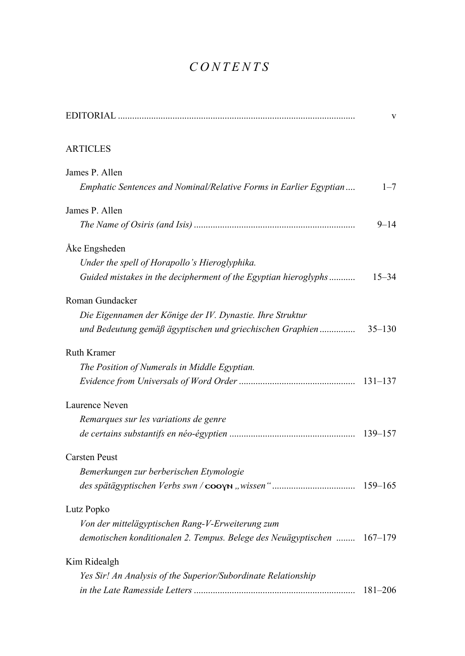## *CONTENTS*

|                                                                         | V           |
|-------------------------------------------------------------------------|-------------|
| <b>ARTICLES</b>                                                         |             |
| James P. Allen                                                          |             |
| Emphatic Sentences and Nominal/Relative Forms in Earlier Egyptian       | $1 - 7$     |
| James P. Allen                                                          |             |
|                                                                         | $9 - 14$    |
| Åke Engsheden                                                           |             |
| Under the spell of Horapollo's Hieroglyphika.                           |             |
| Guided mistakes in the decipherment of the Egyptian hieroglyphs         | $15 - 34$   |
| Roman Gundacker                                                         |             |
| Die Eigennamen der Könige der IV. Dynastie. Ihre Struktur               |             |
| und Bedeutung gemäß ägyptischen und griechischen Graphien               | $35 - 130$  |
| <b>Ruth Kramer</b>                                                      |             |
| The Position of Numerals in Middle Egyptian.                            |             |
|                                                                         |             |
| Laurence Neven                                                          |             |
| Remarques sur les variations de genre                                   |             |
|                                                                         | 139-157     |
| <b>Carsten Peust</b>                                                    |             |
| Bemerkungen zur berberischen Etymologie                                 |             |
|                                                                         |             |
| Lutz Popko                                                              |             |
| Von der mittelägyptischen Rang-V-Erweiterung zum                        |             |
| demotischen konditionalen 2. Tempus. Belege des Neuägyptischen  167-179 |             |
| Kim Ridealgh                                                            |             |
| Yes Sir! An Analysis of the Superior/Subordinate Relationship           |             |
|                                                                         | $181 - 206$ |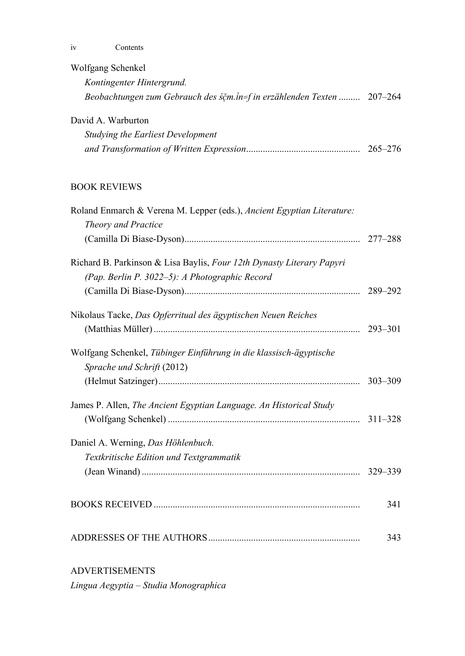iv Contents

| Wolfgang Schenkel                                                                                                       |             |
|-------------------------------------------------------------------------------------------------------------------------|-------------|
| Kontingenter Hintergrund.                                                                                               |             |
| Beobachtungen zum Gebrauch des śčm.in=f in erzählenden Texten  207-264                                                  |             |
| David A. Warburton                                                                                                      |             |
| Studying the Earliest Development                                                                                       |             |
|                                                                                                                         |             |
| <b>BOOK REVIEWS</b>                                                                                                     |             |
| Roland Enmarch & Verena M. Lepper (eds.), Ancient Egyptian Literature:<br>Theory and Practice                           |             |
|                                                                                                                         |             |
| Richard B. Parkinson & Lisa Baylis, Four 12th Dynasty Literary Papyri<br>(Pap. Berlin P. 3022-5): A Photographic Record |             |
|                                                                                                                         | 289-292     |
| Nikolaus Tacke, Das Opferritual des ägyptischen Neuen Reiches                                                           | $293 - 301$ |
| Wolfgang Schenkel, Tübinger Einführung in die klassisch-ägyptische<br>Sprache und Schrift (2012)                        |             |
|                                                                                                                         | $303 - 309$ |
| James P. Allen, The Ancient Egyptian Language. An Historical Study                                                      | $311 - 328$ |
| Daniel A. Werning, Das Höhlenbuch.                                                                                      |             |
| Textkritische Edition und Textgrammatik                                                                                 |             |
|                                                                                                                         | 341         |
|                                                                                                                         | 343         |
|                                                                                                                         |             |

### ADVERTISEMENTS

*Lingua Aegyptia – Studia Monographica*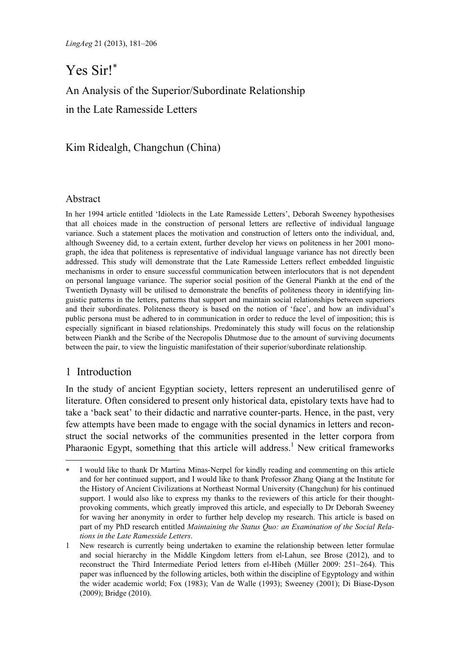## Yes Sir!

An Analysis of the Superior/Subordinate Relationship

in the Late Ramesside Letters

Kim Ridealgh, Changchun (China)

#### Abstract

In her 1994 article entitled 'Idiolects in the Late Ramesside Letters', Deborah Sweeney hypothesises that all choices made in the construction of personal letters are reflective of individual language variance. Such a statement places the motivation and construction of letters onto the individual, and, although Sweeney did, to a certain extent, further develop her views on politeness in her 2001 monograph, the idea that politeness is representative of individual language variance has not directly been addressed. This study will demonstrate that the Late Ramesside Letters reflect embedded linguistic mechanisms in order to ensure successful communication between interlocutors that is not dependent on personal language variance. The superior social position of the General Piankh at the end of the Twentieth Dynasty will be utilised to demonstrate the benefits of politeness theory in identifying linguistic patterns in the letters, patterns that support and maintain social relationships between superiors and their subordinates. Politeness theory is based on the notion of 'face', and how an individual's public persona must be adhered to in communication in order to reduce the level of imposition; this is especially significant in biased relationships. Predominately this study will focus on the relationship between Piankh and the Scribe of the Necropolis Dhutmose due to the amount of surviving documents between the pair, to view the linguistic manifestation of their superior/subordinate relationship.

#### 1 Introduction

l

In the study of ancient Egyptian society, letters represent an underutilised genre of literature. Often considered to present only historical data, epistolary texts have had to take a 'back seat' to their didactic and narrative counter-parts. Hence, in the past, very few attempts have been made to engage with the social dynamics in letters and reconstruct the social networks of the communities presented in the letter corpora from Pharaonic Egypt, something that this article will address.<sup>1</sup> New critical frameworks

I would like to thank Dr Martina Minas-Nerpel for kindly reading and commenting on this article and for her continued support, and I would like to thank Professor Zhang Qiang at the Institute for the History of Ancient Civilizations at Northeast Normal University (Changchun) for his continued support. I would also like to express my thanks to the reviewers of this article for their thoughtprovoking comments, which greatly improved this article, and especially to Dr Deborah Sweeney for waving her anonymity in order to further help develop my research. This article is based on part of my PhD research entitled *Maintaining the Status Quo: an Examination of the Social Relations in the Late Ramesside Letters*.

<sup>1</sup> New research is currently being undertaken to examine the relationship between letter formulae and social hierarchy in the Middle Kingdom letters from el-Lahun, see Brose (2012), and to reconstruct the Third Intermediate Period letters from el-Hibeh (Müller 2009: 251–264). This paper was influenced by the following articles, both within the discipline of Egyptology and within the wider academic world; Fox (1983); Van de Walle (1993); Sweeney (2001); Di Biase-Dyson (2009); Bridge (2010).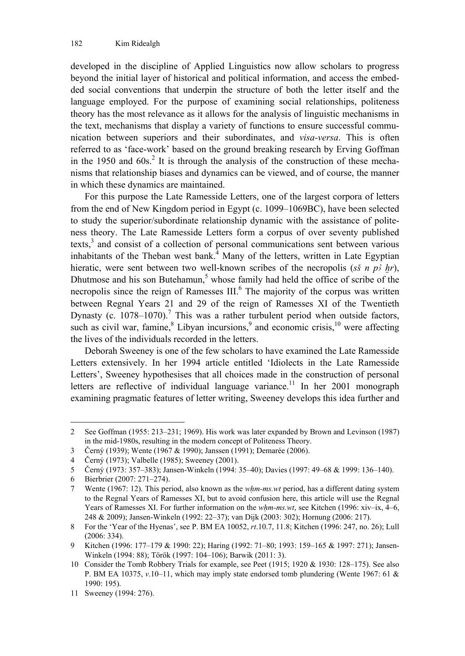developed in the discipline of Applied Linguistics now allow scholars to progress beyond the initial layer of historical and political information, and access the embedded social conventions that underpin the structure of both the letter itself and the language employed. For the purpose of examining social relationships, politeness theory has the most relevance as it allows for the analysis of linguistic mechanisms in the text, mechanisms that display a variety of functions to ensure successful communication between superiors and their subordinates, and *visa-versa*. This is often referred to as 'face-work' based on the ground breaking research by Erving Goffman in the 1950 and  $60s$ .<sup>2</sup> It is through the analysis of the construction of these mechanisms that relationship biases and dynamics can be viewed, and of course, the manner in which these dynamics are maintained.

For this purpose the Late Ramesside Letters, one of the largest corpora of letters from the end of New Kingdom period in Egypt (c. 1099–1069BC), have been selected to study the superior/subordinate relationship dynamic with the assistance of politeness theory. The Late Ramesside Letters form a corpus of over seventy published texts,<sup>3</sup> and consist of a collection of personal communications sent between various inhabitants of the Theban west bank.<sup>4</sup> Many of the letters, written in Late Egyptian hieratic, were sent between two well-known scribes of the necropolis ( $s\bar{s}$  n  $p\bar{s}$  hr), Dhutmose and his son Butehamun, $5$  whose family had held the office of scribe of the necropolis since the reign of Ramesses  $III$ .<sup>6</sup> The majority of the corpus was written between Regnal Years 21 and 29 of the reign of Ramesses XI of the Twentieth Dynasty (c.  $1078-1070$ ).<sup>7</sup> This was a rather turbulent period when outside factors, such as civil war, famine, $8$  Libyan incursions, $9$  and economic crisis, $10$  were affecting the lives of the individuals recorded in the letters.

Deborah Sweeney is one of the few scholars to have examined the Late Ramesside Letters extensively. In her 1994 article entitled 'Idiolects in the Late Ramesside Letters', Sweeney hypothesises that all choices made in the construction of personal letters are reflective of individual language variance.<sup>11</sup> In her 2001 monograph examining pragmatic features of letter writing, Sweeney develops this idea further and

<sup>2</sup> See Goffman (1955: 213–231; 1969). His work was later expanded by Brown and Levinson (1987) in the mid-1980s, resulting in the modern concept of Politeness Theory.

<sup>3</sup> Černý (1939); Wente (1967 & 1990); Janssen (1991); Demarée (2006).

<sup>4</sup> Černý (1973); Valbelle (1985); Sweeney (2001).

<sup>5</sup> Černý (1973: 357–383); Jansen-Winkeln (1994: 35–40); Davies (1997: 49–68 & 1999: 136–140).

<sup>6</sup> Bierbrier (2007: 271–274).

<sup>7</sup> Wente (1967: 12). This period, also known as the *wHm-ms.wt* period, has a different dating system to the Regnal Years of Ramesses XI, but to avoid confusion here, this article will use the Regnal Years of Ramesses XI. For further information on the *whm-ms.wt*, see Kitchen (1996: xiv–ix, 4–6, 248 & 2009); Jansen-Winkeln (1992: 22–37); van Dijk (2003: 302); Hornung (2006: 217).

<sup>8</sup> For the 'Year of the Hyenas', see P. BM EA 10052, *rt*.10.7, 11.8; Kitchen (1996: 247, no. 26); Lull (2006: 334).

<sup>9</sup> Kitchen (1996: 177–179 & 1990: 22); Haring (1992: 71–80; 1993: 159–165 & 1997: 271); Jansen-Winkeln (1994: 88); Török (1997: 104–106); Barwik (2011: 3).

<sup>10</sup> Consider the Tomb Robbery Trials for example, see Peet (1915; 1920 & 1930: 128–175). See also P. BM EA 10375, *v*.10–11, which may imply state endorsed tomb plundering (Wente 1967: 61 & 1990: 195).

<sup>11</sup> Sweeney (1994: 276).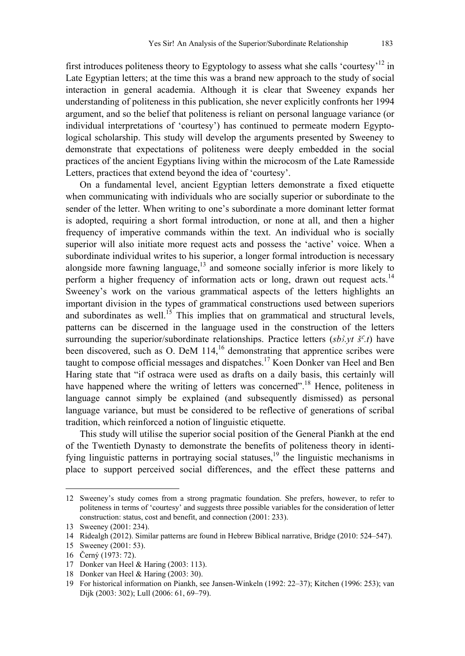first introduces politeness theory to Egyptology to assess what she calls 'courtesy'<sup>12</sup> in Late Egyptian letters; at the time this was a brand new approach to the study of social interaction in general academia. Although it is clear that Sweeney expands her understanding of politeness in this publication, she never explicitly confronts her 1994 argument, and so the belief that politeness is reliant on personal language variance (or individual interpretations of 'courtesy') has continued to permeate modern Egyptological scholarship. This study will develop the arguments presented by Sweeney to demonstrate that expectations of politeness were deeply embedded in the social practices of the ancient Egyptians living within the microcosm of the Late Ramesside Letters, practices that extend beyond the idea of 'courtesy'.

On a fundamental level, ancient Egyptian letters demonstrate a fixed etiquette when communicating with individuals who are socially superior or subordinate to the sender of the letter. When writing to one's subordinate a more dominant letter format is adopted, requiring a short formal introduction, or none at all, and then a higher frequency of imperative commands within the text. An individual who is socially superior will also initiate more request acts and possess the 'active' voice. When a subordinate individual writes to his superior, a longer formal introduction is necessary alongside more fawning language, $\frac{13}{13}$  and someone socially inferior is more likely to perform a higher frequency of information acts or long, drawn out request acts.<sup>14</sup> Sweeney's work on the various grammatical aspects of the letters highlights an important division in the types of grammatical constructions used between superiors and subordinates as well.<sup>15</sup> This implies that on grammatical and structural levels, patterns can be discerned in the language used in the construction of the letters surrounding the superior/subordinate relationships. Practice letters  $(sb\hat{i}, vt \, \hat{s}^c\hat{i})$  have been discovered, such as O. DeM  $114<sup>16</sup>$  demonstrating that apprentice scribes were taught to compose official messages and dispatches.17 Koen Donker van Heel and Ben Haring state that "if ostraca were used as drafts on a daily basis, this certainly will have happened where the writing of letters was concerned".<sup>18</sup> Hence, politeness in language cannot simply be explained (and subsequently dismissed) as personal language variance, but must be considered to be reflective of generations of scribal tradition, which reinforced a notion of linguistic etiquette.

This study will utilise the superior social position of the General Piankh at the end of the Twentieth Dynasty to demonstrate the benefits of politeness theory in identifying linguistic patterns in portraying social statuses, $19$  the linguistic mechanisms in place to support perceived social differences, and the effect these patterns and

-

<sup>12</sup> Sweeney's study comes from a strong pragmatic foundation. She prefers, however, to refer to politeness in terms of 'courtesy' and suggests three possible variables for the consideration of letter construction: status, cost and benefit, and connection (2001: 233).

<sup>13</sup> Sweeney (2001: 234).

<sup>14</sup> Ridealgh (2012). Similar patterns are found in Hebrew Biblical narrative, Bridge (2010: 524–547).

<sup>15</sup> Sweeney (2001: 53).

<sup>16</sup> Černý (1973: 72).

<sup>17</sup> Donker van Heel & Haring (2003: 113).

<sup>18</sup> Donker van Heel & Haring (2003: 30).

<sup>19</sup> For historical information on Piankh, see Jansen-Winkeln (1992: 22–37); Kitchen (1996: 253); van Dijk (2003: 302); Lull (2006: 61, 69–79).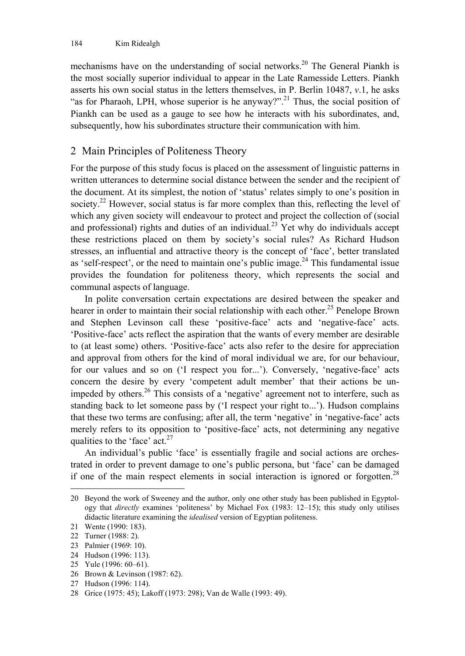mechanisms have on the understanding of social networks.20 The General Piankh is the most socially superior individual to appear in the Late Ramesside Letters. Piankh asserts his own social status in the letters themselves, in P. Berlin 10487, *v*.1, he asks "as for Pharaoh, LPH, whose superior is he anyway?".<sup>21</sup> Thus, the social position of Piankh can be used as a gauge to see how he interacts with his subordinates, and, subsequently, how his subordinates structure their communication with him.

#### 2 Main Principles of Politeness Theory

For the purpose of this study focus is placed on the assessment of linguistic patterns in written utterances to determine social distance between the sender and the recipient of the document. At its simplest, the notion of 'status' relates simply to one's position in society.<sup>22</sup> However, social status is far more complex than this, reflecting the level of which any given society will endeavour to protect and project the collection of (social and professional) rights and duties of an individual.<sup>23</sup> Yet why do individuals accept these restrictions placed on them by society's social rules? As Richard Hudson stresses, an influential and attractive theory is the concept of 'face', better translated as 'self-respect', or the need to maintain one's public image.<sup>24</sup> This fundamental issue provides the foundation for politeness theory, which represents the social and communal aspects of language.

In polite conversation certain expectations are desired between the speaker and hearer in order to maintain their social relationship with each other.<sup>25</sup> Penelope Brown and Stephen Levinson call these 'positive-face' acts and 'negative-face' acts. 'Positive-face' acts reflect the aspiration that the wants of every member are desirable to (at least some) others. 'Positive-face' acts also refer to the desire for appreciation and approval from others for the kind of moral individual we are, for our behaviour, for our values and so on ('I respect you for...'). Conversely, 'negative-face' acts concern the desire by every 'competent adult member' that their actions be unimpeded by others.26 This consists of a 'negative' agreement not to interfere, such as standing back to let someone pass by ('I respect your right to...'). Hudson complains that these two terms are confusing; after all, the term 'negative' in 'negative-face' acts merely refers to its opposition to 'positive-face' acts, not determining any negative qualities to the 'face'  $act.^{27}$ 

An individual's public 'face' is essentially fragile and social actions are orchestrated in order to prevent damage to one's public persona, but 'face' can be damaged if one of the main respect elements in social interaction is ignored or forgotten.28

<sup>20</sup> Beyond the work of Sweeney and the author, only one other study has been published in Egyptology that *directly* examines 'politeness' by Michael Fox (1983: 12–15); this study only utilises didactic literature examining the *idealised* version of Egyptian politeness.

<sup>21</sup> Wente (1990: 183).

<sup>22</sup> Turner (1988: 2).

<sup>23</sup> Palmier (1969: 10).

<sup>24</sup> Hudson (1996: 113).

<sup>25</sup> Yule (1996: 60–61).

<sup>26</sup> Brown & Levinson (1987: 62).

<sup>27</sup> Hudson (1996: 114).

<sup>28</sup> Grice (1975: 45); Lakoff (1973: 298); Van de Walle (1993: 49).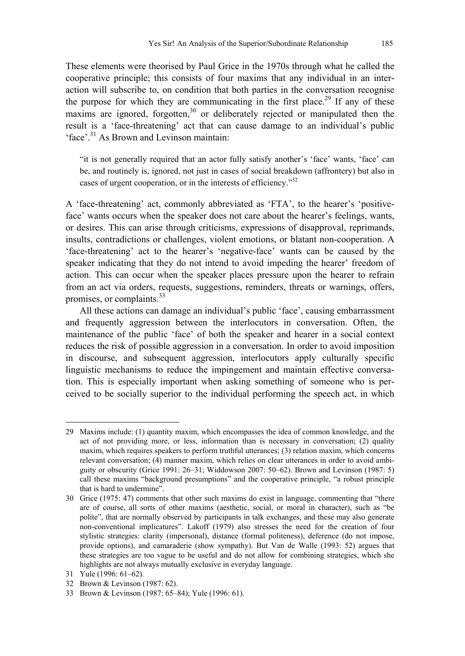These elements were theorised by Paul Grice in the 1970s through what he called the cooperative principle; this consists of four maxims that any individual in an interaction will subscribe to, on condition that both parties in the conversation recognise the purpose for which they are communicating in the first place.<sup>29</sup> If any of these maxims are ignored, forgotten,<sup>30</sup> or deliberately rejected or manipulated then the result is a 'face-threatening' act that can cause damage to an individual's public

'face'.31 As Brown and Levinson maintain:

"it is not generally required that an actor fully satisfy another's 'face' wants, 'face' can be, and routinely is, ignored, not just in cases of social breakdown (affrontery) but also in cases of urgent cooperation, or in the interests of efficiency."32

A 'face-threatening' act, commonly abbreviated as 'FTA', to the hearer's 'positiveface' wants occurs when the speaker does not care about the hearer's feelings, wants, or desires. This can arise through criticisms, expressions of disapproval, reprimands, insults, contradictions or challenges, violent emotions, or blatant non-cooperation. A 'face-threatening' act to the hearer's 'negative-face' wants can be caused by the speaker indicating that they do not intend to avoid impeding the hearer' freedom of action. This can occur when the speaker places pressure upon the hearer to refrain from an act via orders, requests, suggestions, reminders, threats or warnings, offers, promises, or complaints.<sup>33</sup>

All these actions can damage an individual's public 'face', causing embarrassment and frequently aggression between the interlocutors in conversation. Often, the maintenance of the public 'face' of both the speaker and hearer in a social context reduces the risk of possible aggression in a conversation. In order to avoid imposition in discourse, and subsequent aggression, interlocutors apply culturally specific linguistic mechanisms to reduce the impingement and maintain effective conversation. This is especially important when asking something of someone who is perceived to be socially superior to the individual performing the speech act, in which

l 29 Maxims include: (1) quantity maxim, which encompasses the idea of common knowledge, and the act of not providing more, or less, information than is necessary in conversation; (2) quality maxim, which requires speakers to perform truthful utterances; (3) relation maxim, which concerns relevant conversation; (4) manner maxim, which relies on clear utterances in order to avoid ambiguity or obscurity (Grice 1991: 26–31; Widdowson 2007: 50–62). Brown and Levinson (1987: 5) call these maxims "background presumptions" and the cooperative principle, "a robust principle that is hard to undermine".

<sup>30</sup> Grice (1975: 47) comments that other such maxims do exist in language, commenting that "there are of course, all sorts of other maxims (aesthetic, social, or moral in character), such as "be polite", that are normally observed by participants in talk exchanges, and these may also generate non-conventional implicatures". Lakoff (1979) also stresses the need for the creation of four stylistic strategies: clarity (impersonal), distance (formal politeness), deference (do not impose, provide options), and camaraderie (show sympathy). But Van de Walle (1993: 52) argues that these strategies are too vague to be useful and do not allow for combining strategies, which she highlights are not always mutually exclusive in everyday language.

<sup>31</sup> Yule (1996: 61–62).

<sup>32</sup> Brown & Levinson (1987: 62).

<sup>33</sup> Brown & Levinson (1987: 65–84); Yule (1996: 61).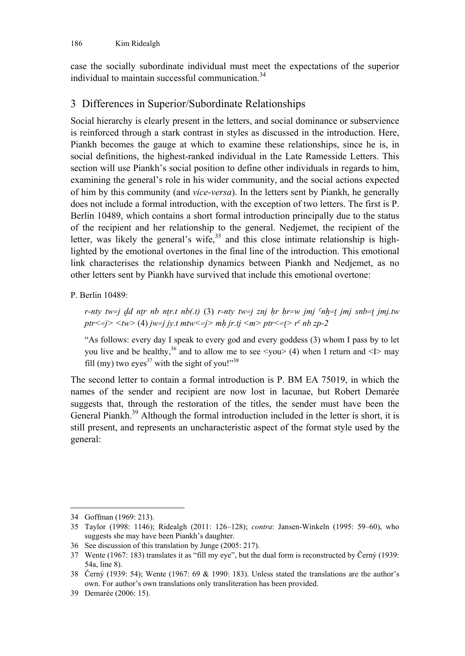case the socially subordinate individual must meet the expectations of the superior individual to maintain successful communication  $34$ 

#### 3 Differences in Superior/Subordinate Relationships

Social hierarchy is clearly present in the letters, and social dominance or subservience is reinforced through a stark contrast in styles as discussed in the introduction. Here, Piankh becomes the gauge at which to examine these relationships, since he is, in social definitions, the highest-ranked individual in the Late Ramesside Letters. This section will use Piankh's social position to define other individuals in regards to him, examining the general's role in his wider community, and the social actions expected of him by this community (and *vice-versa*). In the letters sent by Piankh, he generally does not include a formal introduction, with the exception of two letters. The first is P. Berlin 10489, which contains a short formal introduction principally due to the status of the recipient and her relationship to the general. Nedjemet, the recipient of the letter, was likely the general's wife, $35$  and this close intimate relationship is highlighted by the emotional overtones in the final line of the introduction. This emotional link characterises the relationship dynamics between Piankh and Nedjemet, as no other letters sent by Piankh have survived that include this emotional overtone:

P. Berlin 10489:

*r-nty tw=j dd ntr nb ntr.t nb(.t)* (3) *r-nty tw=j znj hr hr=w jmj*  $nh=t$  *jmj snb=t jmj.tw*  $ptr \leq j$   $\lt$  *tw*  $\gt$  (4) *jw=j jy.t mtw*  $\lt$  *=j> mh jr.tj*  $\lt$ *m> ptr*  $\lt$  *=t> r<sup>c</sup> nb zp-2* 

"As follows: every day I speak to every god and every goddess (3) whom I pass by to let you live and be healthy,<sup>36</sup> and to allow me to see  $\langle \text{you} \rangle$  (4) when I return and  $\langle \text{I} \rangle$  may fill (my) two eyes<sup>37</sup> with the sight of you!"<sup>38</sup>

The second letter to contain a formal introduction is P. BM EA 75019, in which the names of the sender and recipient are now lost in lacunae, but Robert Demarée suggests that, through the restoration of the titles, the sender must have been the General Piankh.<sup>39</sup> Although the formal introduction included in the letter is short, it is still present, and represents an uncharacteristic aspect of the format style used by the general:

<sup>34</sup> Goffman (1969: 213).

<sup>35</sup> Taylor (1998: 1146); Ridealgh (2011: 126–128); *contra*: Jansen-Winkeln (1995: 59–60), who suggests she may have been Piankh's daughter.

<sup>36</sup> See discussion of this translation by Junge (2005: 217).

<sup>37</sup> Wente (1967: 183) translates it as "fill my eye", but the dual form is reconstructed by Černý (1939: 54a, line 8).

<sup>38</sup> Černý (1939: 54); Wente (1967: 69 & 1990: 183). Unless stated the translations are the author's own. For author's own translations only transliteration has been provided.

<sup>39</sup> Demarée (2006: 15).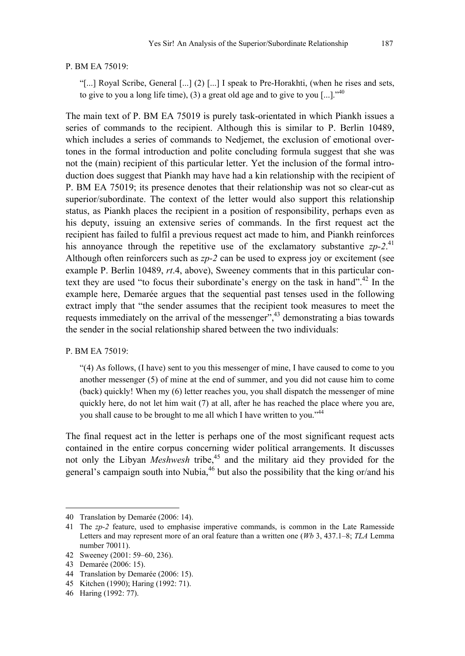#### P. BM EA 75019:

"[...] Royal Scribe, General [...] (2) [...] I speak to Pre-Horakhti, (when he rises and sets, to give to you a long life time), (3) a great old age and to give to you [...]."<sup>40</sup>

The main text of P. BM EA 75019 is purely task-orientated in which Piankh issues a series of commands to the recipient. Although this is similar to P. Berlin 10489, which includes a series of commands to Nedjemet, the exclusion of emotional overtones in the formal introduction and polite concluding formula suggest that she was not the (main) recipient of this particular letter. Yet the inclusion of the formal introduction does suggest that Piankh may have had a kin relationship with the recipient of P. BM EA 75019; its presence denotes that their relationship was not so clear-cut as superior/subordinate. The context of the letter would also support this relationship status, as Piankh places the recipient in a position of responsibility, perhaps even as his deputy, issuing an extensive series of commands. In the first request act the recipient has failed to fulfil a previous request act made to him, and Piankh reinforces his annoyance through the repetitive use of the exclamatory substantive  $zp-2$ <sup>41</sup> Although often reinforcers such as *zp-2* can be used to express joy or excitement (see example P. Berlin 10489, *rt*.4, above), Sweeney comments that in this particular context they are used "to focus their subordinate's energy on the task in hand".<sup>42</sup> In the example here, Demarée argues that the sequential past tenses used in the following extract imply that "the sender assumes that the recipient took measures to meet the requests immediately on the arrival of the messenger<sup> $\dot{y}$ </sup>,<sup>43</sup> demonstrating a bias towards the sender in the social relationship shared between the two individuals:

#### P. BM EA 75019:

"(4) As follows, (I have) sent to you this messenger of mine, I have caused to come to you another messenger (5) of mine at the end of summer, and you did not cause him to come (back) quickly! When my (6) letter reaches you, you shall dispatch the messenger of mine quickly here, do not let him wait (7) at all, after he has reached the place where you are, you shall cause to be brought to me all which I have written to you."<sup>44</sup>

The final request act in the letter is perhaps one of the most significant request acts contained in the entire corpus concerning wider political arrangements. It discusses not only the Libyan *Meshwesh* tribe,<sup>45</sup> and the military aid they provided for the general's campaign south into Nubia, $46$  but also the possibility that the king or/and his

l

<sup>40</sup> Translation by Demarée (2006: 14).

<sup>41</sup> The *zp-2* feature, used to emphasise imperative commands, is common in the Late Ramesside Letters and may represent more of an oral feature than a written one (*Wb* 3, 437.1–8; *TLA* Lemma number 70011).

<sup>42</sup> Sweeney (2001: 59–60, 236).

<sup>43</sup> Demarée (2006: 15).

<sup>44</sup> Translation by Demarée (2006: 15).

<sup>45</sup> Kitchen (1990); Haring (1992: 71).

<sup>46</sup> Haring (1992: 77).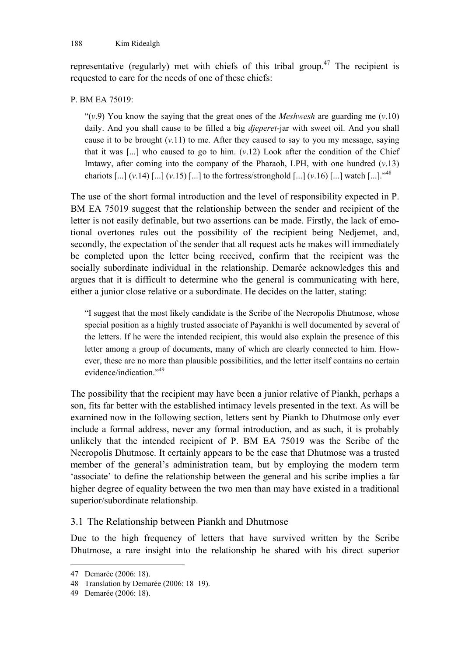representative (regularly) met with chiefs of this tribal group.<sup>47</sup> The recipient is requested to care for the needs of one of these chiefs:

#### P. BM EA 75019:

"(*v*.9) You know the saying that the great ones of the *Meshwesh* are guarding me (*v*.10) daily. And you shall cause to be filled a big *djeperet*-jar with sweet oil. And you shall cause it to be brought  $(v.11)$  to me. After they caused to say to you my message, saying that it was  $\left[\ldots\right]$  who caused to go to him.  $(v.12)$  Look after the condition of the Chief Imtawy, after coming into the company of the Pharaoh, LPH, with one hundred  $(v.13)$ chariots  $\left[\dots\right]$  (*v*.14)  $\left[\dots\right]$  (*v*.15)  $\left[\dots\right]$  to the fortress/stronghold  $\left[\dots\right]$  (*v*.16)  $\left[\dots\right]$  watch  $\left[\dots\right]$ ."<sup>48</sup>

The use of the short formal introduction and the level of responsibility expected in P. BM EA 75019 suggest that the relationship between the sender and recipient of the letter is not easily definable, but two assertions can be made. Firstly, the lack of emotional overtones rules out the possibility of the recipient being Nedjemet, and, secondly, the expectation of the sender that all request acts he makes will immediately be completed upon the letter being received, confirm that the recipient was the socially subordinate individual in the relationship. Demarée acknowledges this and argues that it is difficult to determine who the general is communicating with here, either a junior close relative or a subordinate. He decides on the latter, stating:

"I suggest that the most likely candidate is the Scribe of the Necropolis Dhutmose, whose special position as a highly trusted associate of Payankhi is well documented by several of the letters. If he were the intended recipient, this would also explain the presence of this letter among a group of documents, many of which are clearly connected to him. However, these are no more than plausible possibilities, and the letter itself contains no certain evidence/indication<sup>"49</sup>

The possibility that the recipient may have been a junior relative of Piankh, perhaps a son, fits far better with the established intimacy levels presented in the text. As will be examined now in the following section, letters sent by Piankh to Dhutmose only ever include a formal address, never any formal introduction, and as such, it is probably unlikely that the intended recipient of P. BM EA 75019 was the Scribe of the Necropolis Dhutmose. It certainly appears to be the case that Dhutmose was a trusted member of the general's administration team, but by employing the modern term 'associate' to define the relationship between the general and his scribe implies a far higher degree of equality between the two men than may have existed in a traditional superior/subordinate relationship.

#### 3.1 The Relationship between Piankh and Dhutmose

Due to the high frequency of letters that have survived written by the Scribe Dhutmose, a rare insight into the relationship he shared with his direct superior

<sup>47</sup> Demarée (2006: 18).

<sup>48</sup> Translation by Demarée (2006: 18–19).

<sup>49</sup> Demarée (2006: 18).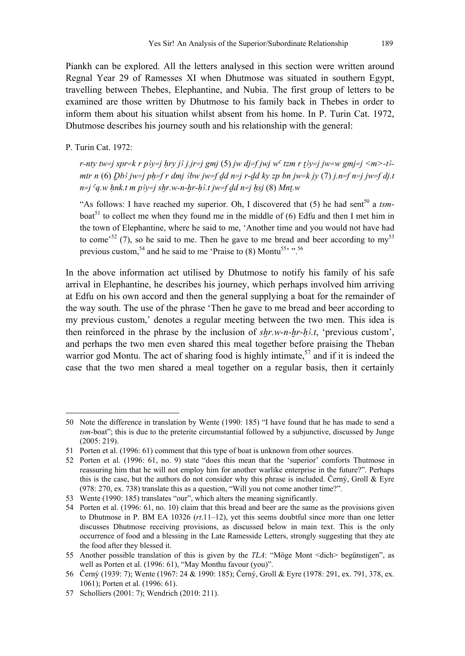Piankh can be explored. All the letters analysed in this section were written around Regnal Year 29 of Ramesses XI when Dhutmose was situated in southern Egypt, travelling between Thebes, Elephantine, and Nubia. The first group of letters to be examined are those written by Dhutmose to his family back in Thebes in order to inform them about his situation whilst absent from his home. In P. Turin Cat. 1972, Dhutmose describes his journey south and his relationship with the general:

P. Turin Cat. 1972:

j

*r-nty tw=j spr=k r p3y=j hry j3 j.jr=j gmj* (5) *jw dj=f jwj w<sup>c</sup> tzm r t3y=j jw=w gmj=j <m>-t3mtr n* (6)  $Db$ *j*  $jw=i$   $ph=f$  *r dmj*  $3bw$   $jw=f$  *dd n=j r-dd ky zp bn jw=k jy* (7)  $j$ *.n=f n=j jw=f dj.t*  $n=i$  <sup>c</sup>a, w hnk.t m  $p y \neq i$  shr, w-n-hr-h<sup>2</sup>, t iw=f dd n=j hsj (8) Mnt, w

"As follows: I have reached my superior. Oh, I discovered that  $(5)$  he had sent<sup>50</sup> a *tsm*boat<sup>51</sup> to collect me when they found me in the middle of  $(6)$  Edfu and then I met him in the town of Elephantine, where he said to me, 'Another time and you would not have had to come<sup>52</sup> (7), so he said to me. Then he gave to me bread and beer according to my<sup>53</sup> previous custom,<sup>54</sup> and he said to me 'Praise to  $(8)$  Montu<sup>55,  $\cdot$ , <sup>56</sup></sup>

In the above information act utilised by Dhutmose to notify his family of his safe arrival in Elephantine, he describes his journey, which perhaps involved him arriving at Edfu on his own accord and then the general supplying a boat for the remainder of the way south. The use of the phrase 'Then he gave to me bread and beer according to my previous custom,' denotes a regular meeting between the two men. This idea is then reinforced in the phrase by the inclusion of  $\frac{shr}{m-n-hr-h^2}$ , 'previous custom', and perhaps the two men even shared this meal together before praising the Theban warrior god Montu. The act of sharing food is highly intimate,  $57$  and if it is indeed the case that the two men shared a meal together on a regular basis, then it certainly

<sup>50</sup> Note the difference in translation by Wente (1990: 185) "I have found that he has made to send a *tsm*-boat"; this is due to the preterite circumstantial followed by a subjunctive, discussed by Junge (2005: 219).

<sup>51</sup> Porten et al. (1996: 61) comment that this type of boat is unknown from other sources.

<sup>52</sup> Porten et al. (1996: 61, no. 9) state "does this mean that the 'superior' comforts Thutmose in reassuring him that he will not employ him for another warlike enterprise in the future?". Perhaps this is the case, but the authors do not consider why this phrase is included. Černý, Groll  $\&$  Eyre (978: 270, ex. 738) translate this as a question, "Will you not come another time?".

<sup>53</sup> Wente (1990: 185) translates "our", which alters the meaning significantly.

<sup>54</sup> Porten et al. (1996: 61, no. 10) claim that this bread and beer are the same as the provisions given to Dhutmose in P. BM EA 10326 (*rt*.11–12), yet this seems doubtful since more than one letter discusses Dhutmose receiving provisions, as discussed below in main text. This is the only occurrence of food and a blessing in the Late Ramesside Letters, strongly suggesting that they ate the food after they blessed it.

<sup>55</sup> Another possible translation of this is given by the *TLA*: "Möge Mont <dich> begünstigen", as well as Porten et al. (1996: 61), "May Monthu favour (you)".

<sup>56</sup> Černý (1939: 7); Wente (1967: 24 & 1990: 185); Černý, Groll & Eyre (1978: 291, ex. 791, 378, ex. 1061); Porten et al. (1996: 61).

<sup>57</sup> Scholliers (2001: 7); Wendrich (2010: 211).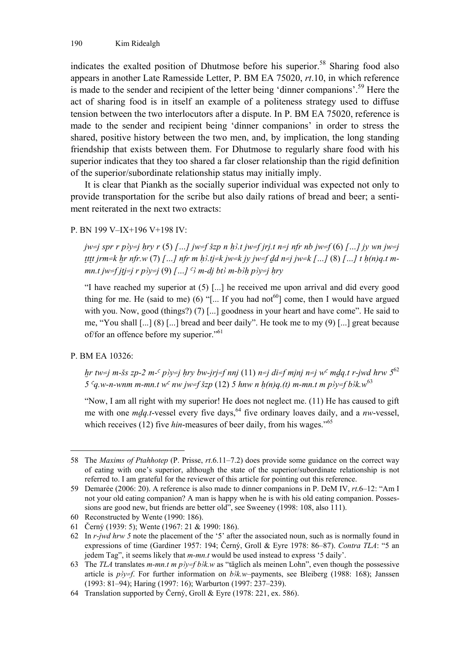indicates the exalted position of Dhutmose before his superior.<sup>58</sup> Sharing food also appears in another Late Ramesside Letter, P. BM EA 75020, *rt*.10, in which reference is made to the sender and recipient of the letter being 'dinner companions'.59 Here the act of sharing food is in itself an example of a politeness strategy used to diffuse tension between the two interlocutors after a dispute. In P. BM EA 75020, reference is made to the sender and recipient being 'dinner companions' in order to stress the shared, positive history between the two men, and, by implication, the long standing friendship that exists between them. For Dhutmose to regularly share food with his superior indicates that they too shared a far closer relationship than the rigid definition of the superior/subordinate relationship status may initially imply.

It is clear that Piankh as the socially superior individual was expected not only to provide transportation for the scribe but also daily rations of bread and beer; a sentiment reiterated in the next two extracts:

P. BN 199 V–IX+196 V+198 IV:

*jw=j spr r p*<sup>3</sup>y=j hry r (5) *[…] jw=f šzp n h*<sup>3</sup>*t jw=f jrj.t n=j nfr nb jw=f* (6) *[…] jy wn jw=j Tttt jrm=k hr nfr.w (7)*  $\int ... \int$  *nfr m h*;  $t j = k$  *jw=k jy jw=f dd n=j jw=k […]* (8)  $\int ... \int t h(n)q \cdot t$  *mmn.t jw=f jtj=j r p* $\frac{1}{2}$  *(9)*  $\left[ \ldots \right]$  <sup>*c*3</sup> *m-dj bt3 m-b3h p3y=j hry* 

"I have reached my superior at (5) [...] he received me upon arrival and did every good thing for me. He (said to me) (6) "[... If you had not<sup>60</sup>] come, then I would have argued with you. Now, good (things?) (7) [...] goodness in your heart and have come". He said to me, "You shall [...] (8) [...] bread and beer daily". He took me to my (9) [...] great because of/for an offence before my superior."61

#### P. BM EA 10326:

 $\overline{a}$ 

*hr tw=j m-šs zp-2 m-<sup>c</sup> p3y=j hry bw-jrj=f nnj* (11) *n=j di=f mjnj n=j w<sup>c</sup> mdq.t r-jwd hrw* 5<sup>62</sup> *5 <sup>c</sup>q.w-n-wnm m-mn.t w<sup>c</sup> nw jw=f*  $\delta zp$  *(12) <i>5 hnw n h(n)q.(t) m-mn.t m p* $\delta y = f b \delta k. w^6$ 

"Now, I am all right with my superior! He does not neglect me. (11) He has caused to gift me with one *mdg.t*-vessel every five days, <sup>64</sup> five ordinary loaves daily, and a *nw*-vessel, which receives (12) five *hin*-measures of beer daily, from his wages."<sup>65</sup>

<sup>58</sup> The *Maxims of Ptahhotep* (P. Prisse, *rt*.6.11–7.2) does provide some guidance on the correct way of eating with one's superior, although the state of the superior/subordinate relationship is not referred to. I am grateful for the reviewer of this article for pointing out this reference.

<sup>59</sup> Demarée (2006: 20). A reference is also made to dinner companions in P. DeM IV, *rt*.6–12: "Am I not your old eating companion? A man is happy when he is with his old eating companion. Possessions are good new, but friends are better old", see Sweeney (1998: 108, also 111).

<sup>60</sup> Reconstructed by Wente (1990: 186).

<sup>61</sup> Černý (1939: 5); Wente (1967: 21 & 1990: 186).

<sup>62</sup> In *r-jwd hrw 5* note the placement of the '5' after the associated noun, such as is normally found in expressions of time (Gardiner 1957: 194; Černý, Groll & Eyre 1978: 86–87). *Contra TLA*: "5 an jedem Tag", it seems likely that *m-mn.t* would be used instead to express '5 daily'.

<sup>63</sup> The *TLA* translates *m-mn.t m p'y=f b'k.w* as "täglich als meinen Lohn", even though the possessive article is  $p\gamma \neq f$ . For further information on  $b\lambda k$ .*w*-payments, see Bleiberg (1988: 168); Janssen (1993: 81–94); Haring (1997: 16); Warburton (1997: 237–239).

<sup>64</sup> Translation supported by Černý, Groll & Eyre (1978: 221, ex. 586).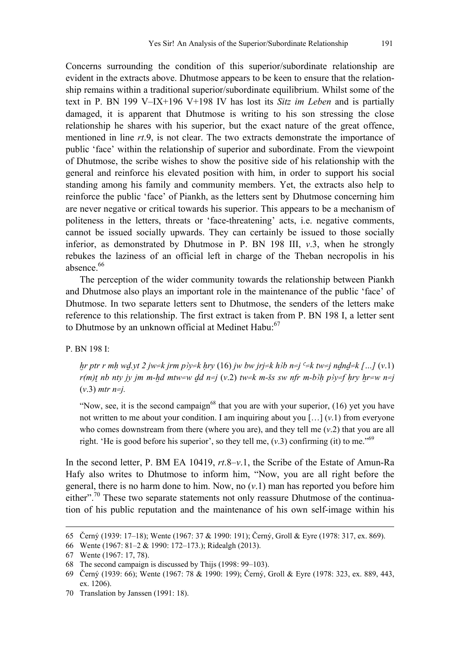Concerns surrounding the condition of this superior/subordinate relationship are evident in the extracts above. Dhutmose appears to be keen to ensure that the relationship remains within a traditional superior/subordinate equilibrium. Whilst some of the text in P. BN 199 V–IX+196 V+198 IV has lost its *Sitz im Leben* and is partially damaged, it is apparent that Dhutmose is writing to his son stressing the close relationship he shares with his superior, but the exact nature of the great offence, mentioned in line *rt*.9, is not clear. The two extracts demonstrate the importance of public 'face' within the relationship of superior and subordinate. From the viewpoint of Dhutmose, the scribe wishes to show the positive side of his relationship with the general and reinforce his elevated position with him, in order to support his social standing among his family and community members. Yet, the extracts also help to reinforce the public 'face' of Piankh, as the letters sent by Dhutmose concerning him are never negative or critical towards his superior. This appears to be a mechanism of politeness in the letters, threats or 'face-threatening' acts, i.e. negative comments, cannot be issued socially upwards. They can certainly be issued to those socially inferior, as demonstrated by Dhutmose in P. BN 198 III, *v*.3, when he strongly rebukes the laziness of an official left in charge of the Theban necropolis in his

The perception of the wider community towards the relationship between Piankh and Dhutmose also plays an important role in the maintenance of the public 'face' of Dhutmose. In two separate letters sent to Dhutmose, the senders of the letters make reference to this relationship. The first extract is taken from P. BN 198 I, a letter sent to Dhutmose by an unknown official at Medinet Habu:<sup>67</sup>

P. BN 198 I:

absence. $66$ 

*hr ptr r mh wd.yt 2 jw=k jrm p3y=k hry* (16) *jw bw jrj=k h3b n=j*  $\leq$ k tw=j ndnd=k [...] (*v*.1) *r(m)t* nb nty jy jm m-hd mtw=w dd n=j (v.2) tw=k m-šs sw nfr m-b $\lambda h$  p $\lambda y = f$  hry hr=w n=j (*v*.3) *mtr n=j.* 

"Now, see, it is the second campaign<sup>68</sup> that you are with your superior,  $(16)$  yet you have not written to me about your condition. I am inquiring about you […] (*v*.1) from everyone who comes downstream from there (where you are), and they tell me (*v*.2) that you are all right. 'He is good before his superior', so they tell me,  $(v.3)$  confirming (it) to me."<sup>69</sup>

In the second letter, P. BM EA 10419, *rt*.8–*v*.1, the Scribe of the Estate of Amun-Ra Hafy also writes to Dhutmose to inform him, "Now, you are all right before the general, there is no harm done to him. Now, no (*v*.1) man has reported you before him either".<sup>70</sup> These two separate statements not only reassure Dhutmose of the continuation of his public reputation and the maintenance of his own self-image within his

-

<sup>65</sup> Černý (1939: 17–18); Wente (1967: 37 & 1990: 191); Černý, Groll & Eyre (1978: 317, ex. 869).

<sup>66</sup> Wente (1967: 81–2 & 1990: 172–173.); Ridealgh (2013).

<sup>67</sup> Wente (1967: 17, 78).

<sup>68</sup> The second campaign is discussed by Thijs (1998: 99–103).

<sup>69</sup> Černý (1939: 66); Wente (1967: 78 & 1990: 199); Černý, Groll & Eyre (1978: 323, ex. 889, 443, ex. 1206).

<sup>70</sup> Translation by Janssen (1991: 18).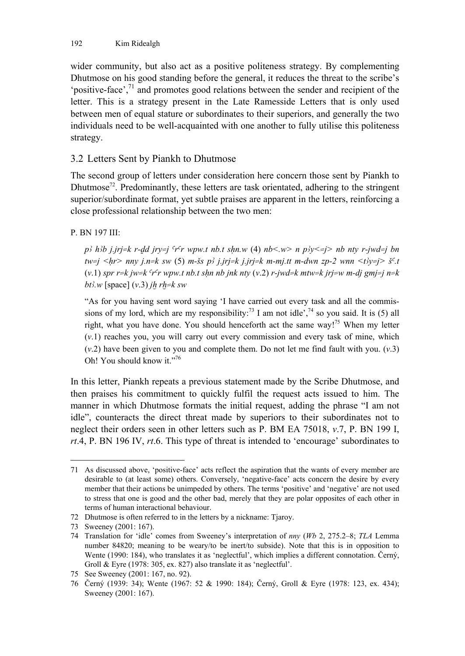wider community, but also act as a positive politeness strategy. By complementing Dhutmose on his good standing before the general, it reduces the threat to the scribe's 'positive-face', $^{71}$  and promotes good relations between the sender and recipient of the letter. This is a strategy present in the Late Ramesside Letters that is only used between men of equal stature or subordinates to their superiors, and generally the two individuals need to be well-acquainted with one another to fully utilise this politeness strategy.

#### 3.2 Letters Sent by Piankh to Dhutmose

The second group of letters under consideration here concern those sent by Piankh to Dhutmose<sup>72</sup>. Predominantly, these letters are task orientated, adhering to the stringent superior/subordinate format, yet subtle praises are apparent in the letters, reinforcing a close professional relationship between the two men:

#### P. BN 197 III:

*p*<sup>3</sup> *h* $b$ *b j.jrj=k r-dd jry=j <sup>c</sup>r<sup>c</sup>r wpw.t nb.t shn.w (4) nb<.w> n*  $p$  $y$  *<=j> nb nty r-jwd=j bn*  $tw = j \leq hr$  nny j.n=k sw (5) m-šs p<sup>3</sup> j.jrj=k j.jrj=k m-mj.tt m-dwn zp-2 wnn  $\lt$ t<sup>3</sup>y=j > š<sup>c</sup>.t  $(v,1)$  *spr r=k jw=k <sup>c</sup>r<sup>c</sup>r wpw.t nb.t shn nb jnk nty*  $(v,2)$  *r-jwd=k mtw=k jrj=w m-dj gmj=j n=k bt* $3$ *w* [space] (*v*.3) *jh rh=k sw* 

"As for you having sent word saying 'I have carried out every task and all the commissions of my lord, which are my responsibility:<sup>73</sup> I am not idle<sup>', 74</sup> so you said. It is (5) all right, what you have done. You should henceforth act the same way!<sup>75</sup> When my letter (*v*.1) reaches you, you will carry out every commission and every task of mine, which (*v*.2) have been given to you and complete them. Do not let me find fault with you. (*v*.3) Oh! You should know it."76

In this letter, Piankh repeats a previous statement made by the Scribe Dhutmose, and then praises his commitment to quickly fulfil the request acts issued to him. The manner in which Dhutmose formats the initial request, adding the phrase "I am not idle", counteracts the direct threat made by superiors to their subordinates not to neglect their orders seen in other letters such as P. BM EA 75018, *v*.7, P. BN 199 I, *rt*.4, P. BN 196 IV, *rt*.6. This type of threat is intended to 'encourage' subordinates to

<sup>71</sup> As discussed above, 'positive-face' acts reflect the aspiration that the wants of every member are desirable to (at least some) others. Conversely, 'negative-face' acts concern the desire by every member that their actions be unimpeded by others. The terms 'positive' and 'negative' are not used to stress that one is good and the other bad, merely that they are polar opposites of each other in terms of human interactional behaviour.

<sup>72</sup> Dhutmose is often referred to in the letters by a nickname: Tjaroy.

<sup>73</sup> Sweeney (2001: 167).

<sup>74</sup> Translation for 'idle' comes from Sweeney's interpretation of *nny* (*Wb* 2, 275.2–8; *TLA* Lemma number 84820; meaning to be weary/to be inert/to subside). Note that this is in opposition to Wente (1990: 184), who translates it as 'neglectful', which implies a different connotation. Černý, Groll & Eyre (1978: 305, ex. 827) also translate it as 'neglectful'.

<sup>75</sup> See Sweeney (2001: 167, no. 92).

<sup>76</sup> Černý (1939: 34); Wente (1967: 52 & 1990: 184); Černý, Groll & Eyre (1978: 123, ex. 434); Sweeney (2001: 167).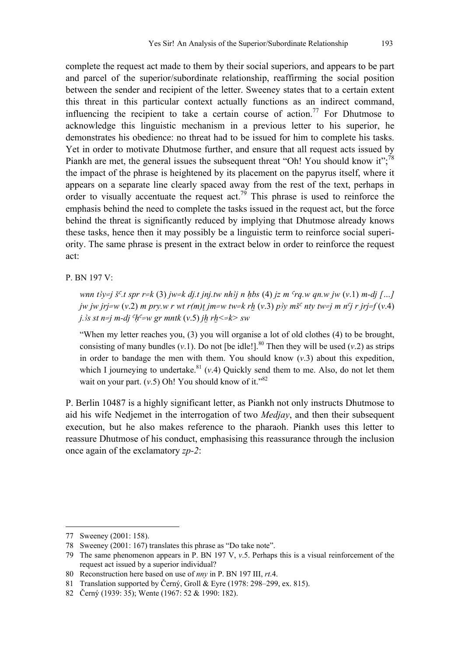complete the request act made to them by their social superiors, and appears to be part and parcel of the superior/subordinate relationship, reaffirming the social position between the sender and recipient of the letter. Sweeney states that to a certain extent this threat in this particular context actually functions as an indirect command, influencing the recipient to take a certain course of action.<sup>77</sup> For Dhutmose to acknowledge this linguistic mechanism in a previous letter to his superior, he demonstrates his obedience: no threat had to be issued for him to complete his tasks. Yet in order to motivate Dhutmose further, and ensure that all request acts issued by Piankh are met, the general issues the subsequent threat "Oh! You should know it":<sup>78</sup> the impact of the phrase is heightened by its placement on the papyrus itself, where it appears on a separate line clearly spaced away from the rest of the text, perhaps in order to visually accentuate the request act.<sup>79</sup> This phrase is used to reinforce the emphasis behind the need to complete the tasks issued in the request act, but the force behind the threat is significantly reduced by implying that Dhutmose already knows these tasks, hence then it may possibly be a linguistic term to reinforce social superiority. The same phrase is present in the extract below in order to reinforce the request act:

P. BN 197 V:

*wnn t* $3y= j \xi^c$ *t spr r=k (3) jw=k dj.t jnj.tw nh* $3j$  *n hbs (4) jz m <sup>c</sup>rq.w qn.w jw (v.1) m-dj […] jw jw jrj=w (v.2) m pry.w r wt r(m)t jm=w tw=k rh (v.3) p* $\frac{dy}{dx}$  *nty tw=j m n<sup>c</sup>j r jrj=f (v.4) j.*  $3s$  st n=j m-dj  $^c h^c = w$  gr mntk  $(v.5)$  jh rh  $\le k$  sw

"When my letter reaches you, (3) you will organise a lot of old clothes (4) to be brought, consisting of many bundles  $(v.1)$ . Do not [be idle!].<sup>80</sup> Then they will be used  $(v.2)$  as strips in order to bandage the men with them. You should know  $(v.3)$  about this expedition, which I journeying to undertake.<sup>81</sup> ( $v$ .4) Quickly send them to me. Also, do not let them wait on your part. (*v*.5) Oh! You should know of it."<sup>82</sup>

P. Berlin 10487 is a highly significant letter, as Piankh not only instructs Dhutmose to aid his wife Nedjemet in the interrogation of two *Medjay*, and then their subsequent execution, but he also makes reference to the pharaoh. Piankh uses this letter to reassure Dhutmose of his conduct, emphasising this reassurance through the inclusion once again of the exclamatory *zp-2*:

-

<sup>77</sup> Sweeney (2001: 158).

<sup>78</sup> Sweeney (2001: 167) translates this phrase as "Do take note".

<sup>79</sup> The same phenomenon appears in P. BN 197 V, *v*.5. Perhaps this is a visual reinforcement of the request act issued by a superior individual?

<sup>80</sup> Reconstruction here based on use of *nny* in P. BN 197 III, *rt*.4.

<sup>81</sup> Translation supported by Černý, Groll & Eyre (1978: 298–299, ex. 815).

<sup>82</sup> Černý (1939: 35); Wente (1967: 52 & 1990: 182).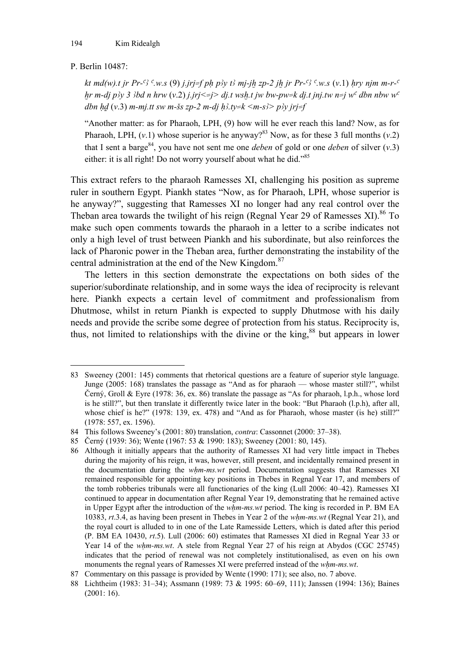#### P. Berlin 10487:

 $\overline{a}$ 

*kt md(w).t jr Pr-<sup>c3</sup> <sup>c</sup>.w.s (9) <i>j.jrj=f ph p3y t3 mj-jh zp-2 jh jr Pr-<sup>c3</sup> <sup>c</sup>.w.s (v.1) hry njm m-r-<sup>c</sup> hr m-di p* $3y$  *3*  $3bd$  *n hrw (v.2) j.jrj*  $\leq i$  *is dit wsh.t jw bw-pw=k dit jnj.tw n=j w<sup>c</sup> dbn nbw w<sup>c</sup> dbn hd*  $(v.3)$  *m-mj.tt sw m-šs zp-2 m-dj h3.ty=k <m-s3> p3y jrj=f* 

"Another matter: as for Pharaoh, LPH, (9) how will he ever reach this land? Now, as for Pharaoh, LPH,  $(v,1)$  whose superior is he anyway?<sup>83</sup> Now, as for these 3 full months  $(v,2)$ that I sent a barge<sup>84</sup>, you have not sent me one *deben* of gold or one *deben* of silver  $(v.3)$ either: it is all right! Do not worry yourself about what he did."85

This extract refers to the pharaoh Ramesses XI, challenging his position as supreme ruler in southern Egypt. Piankh states "Now, as for Pharaoh, LPH, whose superior is he anyway?", suggesting that Ramesses XI no longer had any real control over the Theban area towards the twilight of his reign (Regnal Year 29 of Ramesses XI).<sup>86</sup> To make such open comments towards the pharaoh in a letter to a scribe indicates not only a high level of trust between Piankh and his subordinate, but also reinforces the lack of Pharonic power in the Theban area, further demonstrating the instability of the central administration at the end of the New Kingdom.<sup>87</sup>

The letters in this section demonstrate the expectations on both sides of the superior/subordinate relationship, and in some ways the idea of reciprocity is relevant here. Piankh expects a certain level of commitment and professionalism from Dhutmose, whilst in return Piankh is expected to supply Dhutmose with his daily needs and provide the scribe some degree of protection from his status. Reciprocity is, thus, not limited to relationships with the divine or the king,<sup>88</sup> but appears in lower

<sup>83</sup> Sweeney (2001: 145) comments that rhetorical questions are a feature of superior style language. Junge (2005: 168) translates the passage as "And as for pharaoh — whose master still?", whilst Černý, Groll & Eyre (1978: 36, ex. 86) translate the passage as "As for pharaoh, l.p.h., whose lord is he still?", but then translate it differently twice later in the book: "But Pharaoh (l.p.h), after all, whose chief is he?" (1978: 139, ex. 478) and "And as for Pharaoh, whose master (is he) still?" (1978: 557, ex. 1596).

<sup>84</sup> This follows Sweeney's (2001: 80) translation, *contra*: Cassonnet (2000: 37–38).

<sup>85</sup> Černý (1939: 36); Wente (1967: 53 & 1990: 183); Sweeney (2001: 80, 145).

<sup>86</sup> Although it initially appears that the authority of Ramesses XI had very little impact in Thebes during the majority of his reign, it was, however, still present, and incidentally remained present in the documentation during the *whm-ms.wt* period. Documentation suggests that Ramesses XI remained responsible for appointing key positions in Thebes in Regnal Year 17, and members of the tomb robberies tribunals were all functionaries of the king (Lull 2006: 40–42). Ramesses XI continued to appear in documentation after Regnal Year 19, demonstrating that he remained active in Upper Egypt after the introduction of the *whm-ms.wt* period. The king is recorded in P. BM EA 10383, *rt*.3.4, as having been present in Thebes in Year 2 of the *wHm-ms.wt* (Regnal Year 21), and the royal court is alluded to in one of the Late Ramesside Letters, which is dated after this period (P. BM EA 10430, *rt*.5). Lull (2006: 60) estimates that Ramesses XI died in Regnal Year 33 or Year 14 of the *whm-ms.wt*. A stele from Regnal Year 27 of his reign at Abydos (CGC 25745) indicates that the period of renewal was not completely institutionalised, as even on his own monuments the regnal years of Ramesses XI were preferred instead of the *whm-ms.wt*.

<sup>87</sup> Commentary on this passage is provided by Wente (1990: 171); see also, no. 7 above.

<sup>88</sup> Lichtheim (1983: 31–34); Assmann (1989: 73 & 1995: 60–69, 111); Janssen (1994: 136); Baines (2001: 16).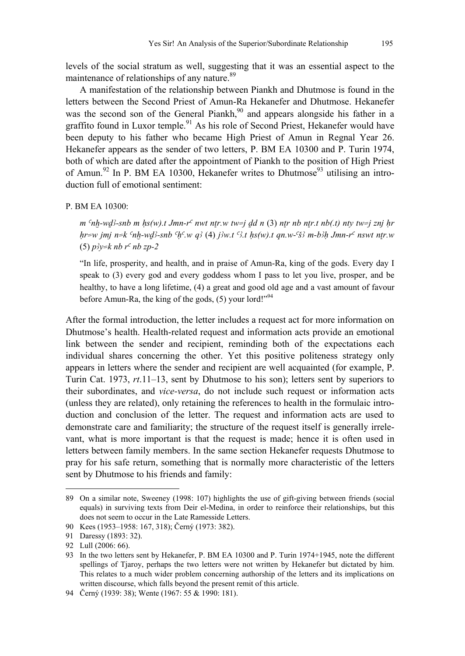levels of the social stratum as well, suggesting that it was an essential aspect to the maintenance of relationships of any nature. $89$ 

A manifestation of the relationship between Piankh and Dhutmose is found in the letters between the Second Priest of Amun-Ra Hekanefer and Dhutmose. Hekanefer was the second son of the General Piankh,<sup>90</sup> and appears alongside his father in a graffito found in Luxor temple.<sup>91</sup> As his role of Second Priest, Hekanefer would have been deputy to his father who became High Priest of Amun in Regnal Year 26. Hekanefer appears as the sender of two letters, P. BM EA 10300 and P. Turin 1974, both of which are dated after the appointment of Piankh to the position of High Priest of Amun.<sup>92</sup> In P. BM EA 10300, Hekanefer writes to Dhutmose<sup>93</sup> utilising an introduction full of emotional sentiment:

#### P. BM EA 10300:

 $m^cnh\text{-}wd\text{-}snb$  m  $hs(w)$ .t Jmn-r<sup>c</sup> nwt ntr.w tw=j dd n (3) ntr nb ntr.t nb(.t) ntv tw=j znj hr  $h$ r=w jmj n=k  $n-h$ -wd $3$ -snb  $n\in\mathbb{N}$ , w q $3(4)$  j $3w$ , t  $3$ , t hs(w), t qn, w- $3$  m-b $3h$  Jmn-r<sup>c</sup> nswt ntr.w  $(5)$  *p*<sup>3</sup>*y*=*k nb r<sup>c</sup> nb zp*-2

"In life, prosperity, and health, and in praise of Amun-Ra, king of the gods. Every day I speak to (3) every god and every goddess whom I pass to let you live, prosper, and be healthy, to have a long lifetime, (4) a great and good old age and a vast amount of favour before Amun-Ra, the king of the gods,  $(5)$  your lord!"<sup>94</sup>

After the formal introduction, the letter includes a request act for more information on Dhutmose's health. Health-related request and information acts provide an emotional link between the sender and recipient, reminding both of the expectations each individual shares concerning the other. Yet this positive politeness strategy only appears in letters where the sender and recipient are well acquainted (for example, P. Turin Cat. 1973, *rt*.11–13, sent by Dhutmose to his son); letters sent by superiors to their subordinates, and *vice-versa*, do not include such request or information acts (unless they are related), only retaining the references to health in the formulaic introduction and conclusion of the letter. The request and information acts are used to demonstrate care and familiarity; the structure of the request itself is generally irrelevant, what is more important is that the request is made; hence it is often used in letters between family members. In the same section Hekanefer requests Dhutmose to pray for his safe return, something that is normally more characteristic of the letters sent by Dhutmose to his friends and family:

-

<sup>89</sup> On a similar note, Sweeney (1998: 107) highlights the use of gift-giving between friends (social equals) in surviving texts from Deir el-Medina, in order to reinforce their relationships, but this does not seem to occur in the Late Ramesside Letters.

<sup>90</sup> Kees (1953–1958: 167, 318); Černý (1973: 382).

<sup>91</sup> Daressy (1893: 32).

<sup>92</sup> Lull (2006: 66).

<sup>93</sup> In the two letters sent by Hekanefer, P. BM EA 10300 and P. Turin 1974+1945, note the different spellings of Tjaroy, perhaps the two letters were not written by Hekanefer but dictated by him. This relates to a much wider problem concerning authorship of the letters and its implications on written discourse, which falls beyond the present remit of this article.

<sup>94</sup> Černý (1939: 38); Wente (1967: 55 & 1990: 181).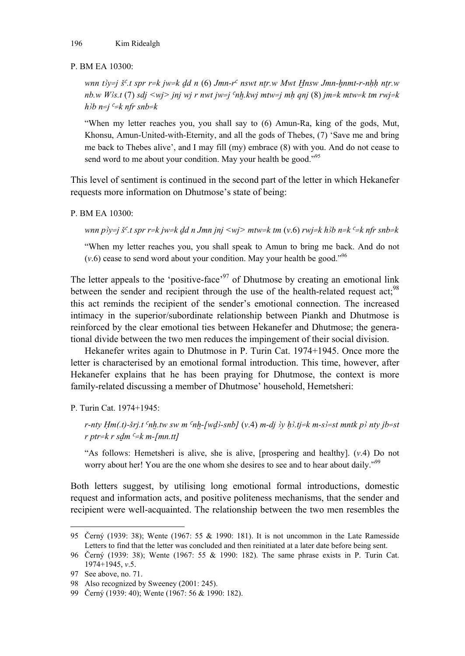#### P. BM EA 10300:

*wnn t}y=j š<sup>c</sup>.t spr r=k jw=k dd n (6) Jmn-r<sup>c</sup> nswt ntr.w Mwt Hnsw Jmn-hnmt-r-nhh ntr.w nb.w W#s.t* (7) *sdj <wj> jnj wj r nwt jw=j onX.kwj mtw=j mH qnj* (8) *jm=k mtw=k tm rwj=k*   $h/b$   $n=j$   $c=k$  nfr snb=k

"When my letter reaches you, you shall say to (6) Amun-Ra, king of the gods, Mut, Khonsu, Amun-United-with-Eternity, and all the gods of Thebes, (7) 'Save me and bring me back to Thebes alive', and I may fill (my) embrace (8) with you. And do not cease to send word to me about your condition. May your health be good."<sup>95</sup>

This level of sentiment is continued in the second part of the letter in which Hekanefer requests more information on Dhutmose's state of being:

#### P. BM EA 10300:

*wnn p* $y = j$  *š<sup>c</sup>.t spr r=k jw=k dd n Jmn jnj <wj> mtw=k tm (v.6) rwj=k h* $b$ *b n=k <sup>c</sup>=k nfr snb=k* 

"When my letter reaches you, you shall speak to Amun to bring me back. And do not  $(v.6)$  cease to send word about your condition. May your health be good.<sup> $v.96$ </sup>

The letter appeals to the 'positive-face'<sup>97</sup> of Dhutmose by creating an emotional link between the sender and recipient through the use of the health-related request act;<sup>98</sup> this act reminds the recipient of the sender's emotional connection. The increased intimacy in the superior/subordinate relationship between Piankh and Dhutmose is reinforced by the clear emotional ties between Hekanefer and Dhutmose; the generational divide between the two men reduces the impingement of their social division.

Hekanefer writes again to Dhutmose in P. Turin Cat. 1974+1945. Once more the letter is characterised by an emotional formal introduction. This time, however, after Hekanefer explains that he has been praying for Dhutmose, the context is more family-related discussing a member of Dhutmose' household, Hemetsheri:

P. Turin Cat. 1974+1945:

 $r$ -nty  $Hm(t)$ -*Srj.t*  $n$ *h.tw sw m*  $n-h-fwd$ *-snb] (v.4)*  $m$ -dj  $\frac{\partial y}{\partial t}$   $h\frac{\partial z}{\partial t}$   $k$   $m-s$   $\frac{\partial z}{\partial s}$   $k$   $m$   $h$   $\frac{\partial z}{\partial t}$  $r$  *ptr=k r sdm*  $c=$ *k m-[mn.tt]* 

"As follows: Hemetsheri is alive, she is alive, [prospering and healthy]. (*v*.4) Do not worry about her! You are the one whom she desires to see and to hear about daily."<sup>99</sup>

Both letters suggest, by utilising long emotional formal introductions, domestic request and information acts, and positive politeness mechanisms, that the sender and recipient were well-acquainted. The relationship between the two men resembles the

<sup>95</sup> Černý (1939: 38); Wente (1967: 55 & 1990: 181). It is not uncommon in the Late Ramesside Letters to find that the letter was concluded and then reinitiated at a later date before being sent.

<sup>96</sup> Černý (1939: 38); Wente (1967: 55 & 1990: 182). The same phrase exists in P. Turin Cat. 1974+1945, *v*.5.

<sup>97</sup> See above, no. 71.

<sup>98</sup> Also recognized by Sweeney (2001: 245).

<sup>99</sup> Černý (1939: 40); Wente (1967: 56 & 1990: 182).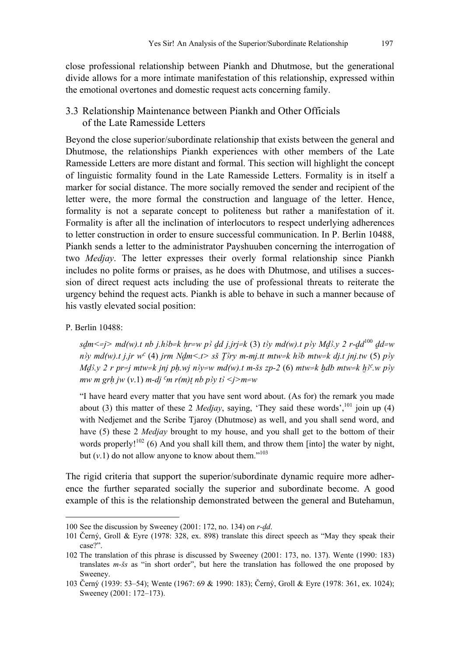close professional relationship between Piankh and Dhutmose, but the generational divide allows for a more intimate manifestation of this relationship, expressed within the emotional overtones and domestic request acts concerning family.

#### 3.3 Relationship Maintenance between Piankh and Other Officials of the Late Ramesside Letters

Beyond the close superior/subordinate relationship that exists between the general and Dhutmose, the relationships Piankh experiences with other members of the Late Ramesside Letters are more distant and formal. This section will highlight the concept of linguistic formality found in the Late Ramesside Letters. Formality is in itself a marker for social distance. The more socially removed the sender and recipient of the letter were, the more formal the construction and language of the letter. Hence, formality is not a separate concept to politeness but rather a manifestation of it. Formality is after all the inclination of interlocutors to respect underlying adherences to letter construction in order to ensure successful communication. In P. Berlin 10488, Piankh sends a letter to the administrator Payshuuben concerning the interrogation of two *Medjay*. The letter expresses their overly formal relationship since Piankh includes no polite forms or praises, as he does with Dhutmose, and utilises a succession of direct request acts including the use of professional threats to reiterate the urgency behind the request acts. Piankh is able to behave in such a manner because of his vastly elevated social position:

#### P. Berlin 10488:

l

 $sdm \leq j$  md(w).t nb j.h<sup>3</sup>b=k hr=w p<sup>3</sup> dd j.jrj=k (3) t3y md(w).t p3y Md3.y 2 r-dd<sup>100</sup> dd=w  $n^2y$  md(w).t j.jr w<sup>c</sup> (4) jrm Ndm<.t> sš T $2ry$  m-mj.tt mtw=k h $2b$  mtw=k dj.t jnj.tw (5)  $p_2y$ *Md* $3y$  2 r pr=j mtw=k jnj ph.wj n $3y=w$  md(w).t m-šs zp-2 (6) mtw=k hdb mtw=k h $3^c$ w p $3y$ *mw m grh jw (v.1)*  $m$ -dj  $\binom{m}{m}$  *r(m)* $t$  *nb p* $\frac{3}{y}$  *t* $\frac{3}{7}$   $\leq$   $j$   $\geq$   $m$  $\leq$  *w* 

"I have heard every matter that you have sent word about. (As for) the remark you made about (3) this matter of these 2 *Medjay*, saying, 'They said these words',<sup>101</sup> join up (4) with Nedjemet and the Scribe Tjaroy (Dhutmose) as well, and you shall send word, and have (5) these 2 *Medjay* brought to my house, and you shall get to the bottom of their words properly! $102$  (6) And you shall kill them, and throw them [into] the water by night, but  $(v,1)$  do not allow anyone to know about them.<sup>"103</sup>

The rigid criteria that support the superior/subordinate dynamic require more adherence the further separated socially the superior and subordinate become. A good example of this is the relationship demonstrated between the general and Butehamun,

<sup>100</sup> See the discussion by Sweeney (2001: 172, no. 134) on *r-dd*.

<sup>101</sup> Černý, Groll & Eyre (1978: 328, ex. 898) translate this direct speech as "May they speak their case?".

<sup>102</sup> The translation of this phrase is discussed by Sweeney (2001: 173, no. 137). Wente (1990: 183) translates *m-Ss* as "in short order", but here the translation has followed the one proposed by Sweeney.

<sup>103</sup> Černý (1939: 53–54); Wente (1967: 69 & 1990: 183); Černý, Groll & Eyre (1978: 361, ex. 1024); Sweeney (2001: 172–173).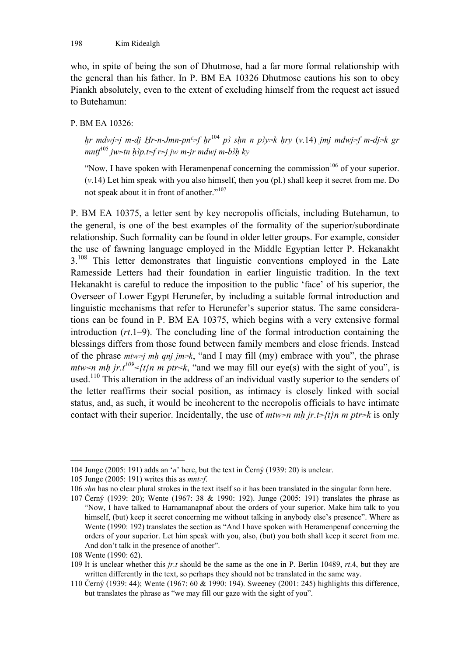who, in spite of being the son of Dhutmose, had a far more formal relationship with the general than his father. In P. BM EA 10326 Dhutmose cautions his son to obey Piankh absolutely, even to the extent of excluding himself from the request act issued to Butehamun:

#### P. BM EA 10326:

*hr mdwj=j m-dj Hr-n-Jmn-pn<sup>c</sup>=f hr*<sup>104</sup> *p*<sup>3</sup> *shn n p*<sup>3</sup> $y=$ *k hry (v.14) jmj mdwj=f m-dj=k gr*  $mntf^{105}$  *jw=tn h* $3p.t=f$  *r=j jw m-jr mdwj m-b* $3h$  *ky* 

"Now, I have spoken with Heramenpenaf concerning the commission<sup>106</sup> of your superior. (*v*.14) Let him speak with you also himself, then you (pl.) shall keep it secret from me. Do not speak about it in front of another."107

P. BM EA 10375, a letter sent by key necropolis officials, including Butehamun, to the general, is one of the best examples of the formality of the superior/subordinate relationship. Such formality can be found in older letter groups. For example, consider the use of fawning language employed in the Middle Egyptian letter P. Hekanakht  $3.108$  This letter demonstrates that linguistic conventions employed in the Late Ramesside Letters had their foundation in earlier linguistic tradition. In the text Hekanakht is careful to reduce the imposition to the public 'face' of his superior, the Overseer of Lower Egypt Herunefer, by including a suitable formal introduction and linguistic mechanisms that refer to Herunefer's superior status. The same considerations can be found in P. BM EA 10375, which begins with a very extensive formal introduction (*rt*.1–9). The concluding line of the formal introduction containing the blessings differs from those found between family members and close friends. Instead of the phrase *mtw=j mH qnj jm=k*, "and I may fill (my) embrace with you", the phrase *mtw=n mh jr.t*<sup>109</sup>={t}n m ptr=k, "and we may fill our eye(s) with the sight of you", is used.<sup>110</sup> This alteration in the address of an individual vastly superior to the senders of the letter reaffirms their social position, as intimacy is closely linked with social status, and, as such, it would be incoherent to the necropolis officials to have intimate contact with their superior. Incidentally, the use of  $m w = n m h$  jr.t= $\{t\}$ n m ptr=k is only

<sup>104</sup> Junge (2005: 191) adds an '*n*' here, but the text in Černý (1939: 20) is unclear.

<sup>105</sup> Junge (2005: 191) writes this as *mnt=f*.

<sup>106</sup> *sHn* has no clear plural strokes in the text itself so it has been translated in the singular form here.

<sup>107</sup> Černý (1939: 20); Wente (1967: 38 & 1990: 192). Junge (2005: 191) translates the phrase as "Now, I have talked to Harnamanapnaf about the orders of your superior. Make him talk to you himself, (but) keep it secret concerning me without talking in anybody else's presence". Where as Wente (1990: 192) translates the section as "And I have spoken with Heramenpenaf concerning the orders of your superior. Let him speak with you, also, (but) you both shall keep it secret from me. And don't talk in the presence of another".

<sup>108</sup> Wente (1990: 62).

<sup>109</sup> It is unclear whether this *jr.t* should be the same as the one in P. Berlin 10489, *rt*.4, but they are written differently in the text, so perhaps they should not be translated in the same way.

<sup>110</sup> Černý (1939: 44); Wente (1967: 60 & 1990: 194). Sweeney (2001: 245) highlights this difference, but translates the phrase as "we may fill our gaze with the sight of you".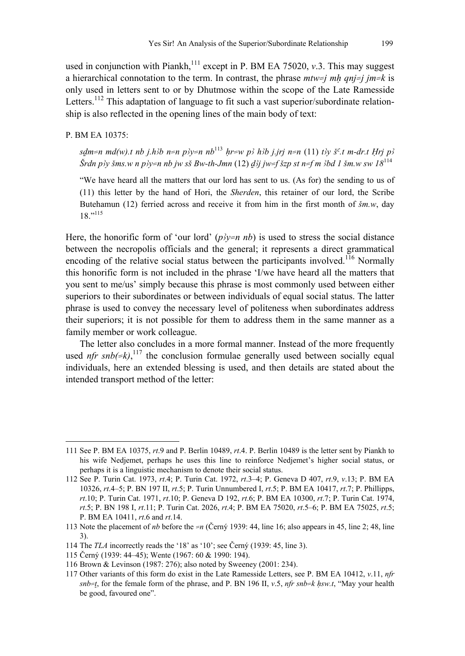used in conjunction with Piankh,<sup>111</sup> except in P. BM EA 75020, *v*.3. This may suggest a hierarchical connotation to the term. In contrast, the phrase  $mtw=i mh$  *ani*=j *im*=k is only used in letters sent to or by Dhutmose within the scope of the Late Ramesside Letters.<sup>112</sup> This adaptation of language to fit such a vast superior/subordinate relationship is also reflected in the opening lines of the main body of text:

#### P. BM EA 10375:

-

*sdm=n md(w).t nb j.h3b n=n p3y=n nb*<sup>113</sup> *hr=w p3 h3b j.jrj n=n (11) t3v š<sup>c</sup>.t m-dr.t Hri p3*  $\tilde{S}$ rdn p<sup>3</sup>y šms.w n p3y=n nb jw sš Bw-th-Jmn (12)  $d_0^2$ j jw=f šzp st n=f m  $3$ bd 1 šm.w sw  $18^{114}$ 

"We have heard all the matters that our lord has sent to us. (As for) the sending to us of (11) this letter by the hand of Hori, the *Sherden*, this retainer of our lord, the Scribe Butehamun (12) ferried across and receive it from him in the first month of *Sm.w*, day 18"115

Here, the honorific form of 'our lord'  $(p\lambda y=n \, nb)$  is used to stress the social distance between the necropolis officials and the general; it represents a direct grammatical encoding of the relative social status between the participants involved.<sup>116</sup> Normally this honorific form is not included in the phrase 'I/we have heard all the matters that you sent to me/us' simply because this phrase is most commonly used between either superiors to their subordinates or between individuals of equal social status. The latter phrase is used to convey the necessary level of politeness when subordinates address their superiors; it is not possible for them to address them in the same manner as a family member or work colleague.

The letter also concludes in a more formal manner. Instead of the more frequently used  $nfr \, \textit{snb}(=k)$ ,<sup>117</sup>, the conclusion formulae generally used between socially equal individuals, here an extended blessing is used, and then details are stated about the intended transport method of the letter:

<sup>111</sup> See P. BM EA 10375, *rt*.9 and P. Berlin 10489, *rt*.4. P. Berlin 10489 is the letter sent by Piankh to his wife Nedjemet, perhaps he uses this line to reinforce Nedjemet's higher social status, or perhaps it is a linguistic mechanism to denote their social status.

<sup>112</sup> See P. Turin Cat. 1973, *rt*.4; P. Turin Cat. 1972, *rt*.3–4; P. Geneva D 407, *rt*.9, *v*.13; P. BM EA 10326, *rt*.4–5; P. BN 197 II, *rt*.5; P. Turin Unnumbered I, *rt*.5; P. BM EA 10417, *rt*.7; P. Phillipps, *rt*.10; P. Turin Cat. 1971, *rt*.10; P. Geneva D 192, *rt*.6; P. BM EA 10300, *rt*.7; P. Turin Cat. 1974, *rt*.5; P. BN 198 I, *rt*.11; P. Turin Cat. 2026, *rt*.4; P. BM EA 75020, *rt*.5–6; P. BM EA 75025, *rt*.5; P. BM EA 10411, *rt*.6 and *rt*.14.

<sup>113</sup> Note the placement of *nb* before the *=n* (Černý 1939: 44, line 16; also appears in 45, line 2; 48, line 3).

<sup>114</sup> The *TLA* incorrectly reads the '18' as '10'; see Černý (1939: 45, line 3).

<sup>115</sup> Černý (1939: 44–45); Wente (1967: 60 & 1990: 194).

<sup>116</sup> Brown & Levinson (1987: 276); also noted by Sweeney (2001: 234).

<sup>117</sup> Other variants of this form do exist in the Late Ramesside Letters, see P. BM EA 10412, *v*.11, *nfr*   $snb=t$ , for the female form of the phrase, and P. BN 196 II, *v.5, nfr snb=k hsw.t*, "May your health be good, favoured one".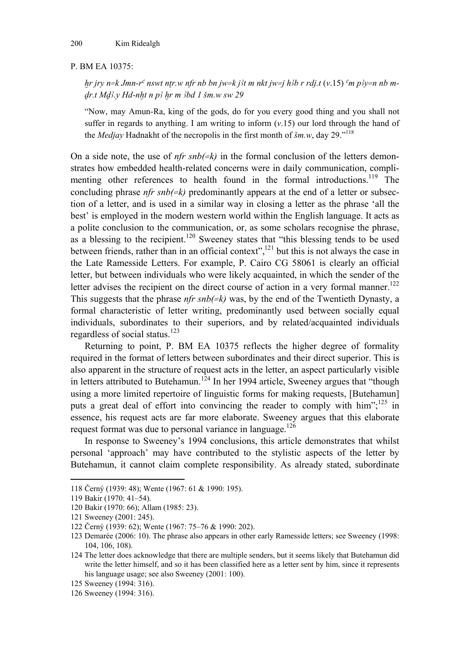#### P. BM EA 10375:

 $h$ r *jry n=k Jmn-r<sup>c</sup> nswt ntr.w nfr nb bn jw=k j't m nkt jw=j h'b r rdj.t (v.15)*  $\epsilon$ m *p'y=n nb m*dr.t Md3.y Hd-nht n p3 hr m 3bd 1 šm.w sw 29

"Now, may Amun-Ra, king of the gods, do for you every good thing and you shall not suffer in regards to anything. I am writing to inform  $(v.15)$  our lord through the hand of the *Medjay* Hadnakht of the necropolis in the first month of *Sm.w*, day 29."118

On a side note, the use of  $nfr \, snb(\neq k)$  in the formal conclusion of the letters demonstrates how embedded health-related concerns were in daily communication, complimenting other references to health found in the formal introductions.<sup>119</sup> The concluding phrase *nfr snb(=k)* predominantly appears at the end of a letter or subsection of a letter, and is used in a similar way in closing a letter as the phrase 'all the best' is employed in the modern western world within the English language. It acts as a polite conclusion to the communication, or, as some scholars recognise the phrase, as a blessing to the recipient.<sup>120</sup> Sweeney states that "this blessing tends to be used between friends, rather than in an official context",<sup>121</sup> but this is not always the case in the Late Ramesside Letters. For example, P. Cairo CG 58061 is clearly an official letter, but between individuals who were likely acquainted, in which the sender of the letter advises the recipient on the direct course of action in a very formal manner.<sup>122</sup> This suggests that the phrase *nfr snb(=k)* was, by the end of the Twentieth Dynasty, a formal characteristic of letter writing, predominantly used between socially equal individuals, subordinates to their superiors, and by related/acquainted individuals regardless of social status. $123$ 

Returning to point, P. BM EA 10375 reflects the higher degree of formality required in the format of letters between subordinates and their direct superior. This is also apparent in the structure of request acts in the letter, an aspect particularly visible in letters attributed to Butehamun.<sup>124</sup> In her 1994 article, Sweeney argues that "though using a more limited repertoire of linguistic forms for making requests, [Butehamun] puts a great deal of effort into convincing the reader to comply with him";<sup>125</sup> in essence, his request acts are far more elaborate. Sweeney argues that this elaborate request format was due to personal variance in language.<sup>126</sup>

In response to Sweeney's 1994 conclusions, this article demonstrates that whilst personal 'approach' may have contributed to the stylistic aspects of the letter by Butehamun, it cannot claim complete responsibility. As already stated, subordinate

<sup>118</sup> Černý (1939: 48); Wente (1967: 61 & 1990: 195).

<sup>119</sup> Bakir (1970: 41–54).

<sup>120</sup> Bakir (1970: 66); Allam (1985: 23).

<sup>121</sup> Sweeney (2001: 245).

<sup>122</sup> Černý (1939: 62); Wente (1967: 75–76 & 1990: 202).

<sup>123</sup> Demarée (2006: 10). The phrase also appears in other early Ramesside letters; see Sweeney (1998: 104, 106, 108).

<sup>124</sup> The letter does acknowledge that there are multiple senders, but it seems likely that Butehamun did write the letter himself, and so it has been classified here as a letter sent by him, since it represents his language usage; see also Sweeney (2001: 100).

<sup>125</sup> Sweeney (1994: 316).

<sup>126</sup> Sweeney (1994: 316).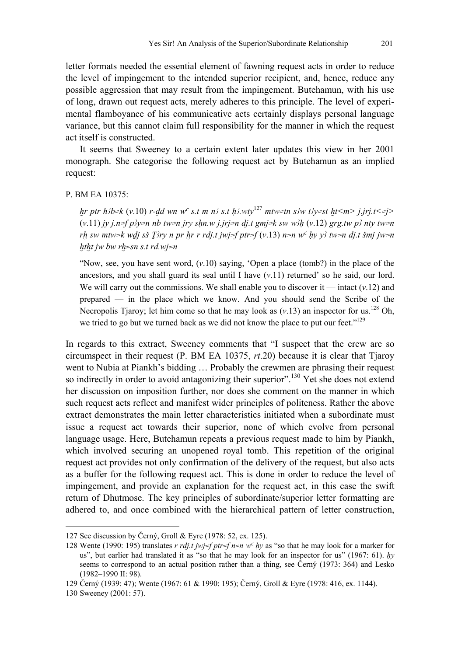letter formats needed the essential element of fawning request acts in order to reduce the level of impingement to the intended superior recipient, and, hence, reduce any

possible aggression that may result from the impingement. Butehamun, with his use of long, drawn out request acts, merely adheres to this principle. The level of experimental flamboyance of his communicative acts certainly displays personal language variance, but this cannot claim full responsibility for the manner in which the request act itself is constructed.

It seems that Sweeney to a certain extent later updates this view in her 2001 monograph. She categorise the following request act by Butehamun as an implied request:

#### P. BM EA 10375:

*hr ptr h3b=k (v.10) r-dd wn w<sup>c</sup> s.t m n3 s.t h3.wty*<sup>127</sup> *mtw=tn s3w t3y=st ht<m> j.jrj.t<=j>*  $(v.11)$  *jy j.n=f p'y=n nb tw=n jry shn.w j.jrj=n dj.t gmj=k sw w'll*  $(v.12)$  *grg.tw p' nty tw=n rh sw mtw=k wdj sš T3ry n pr hr r rdj.t jwj=f ptr=f (y.13) n=n w<sup>c</sup> hy y3 tw=n dj.t šmj jw=n htht jw bw rh=sn s.t rd.wj=n* 

"Now, see, you have sent word,  $(v.10)$  saying, 'Open a place (tomb?) in the place of the ancestors, and you shall guard its seal until I have  $(v.11)$  returned' so he said, our lord. We will carry out the commissions. We shall enable you to discover it  $-$  intact  $(v.12)$  and prepared — in the place which we know. And you should send the Scribe of the Necropolis Tjaroy; let him come so that he may look as  $(v.13)$  an inspector for us.<sup>128</sup> Oh, we tried to go but we turned back as we did not know the place to put our feet."<sup>129</sup>

In regards to this extract, Sweeney comments that "I suspect that the crew are so circumspect in their request (P. BM EA 10375, *rt*.20) because it is clear that Tjaroy went to Nubia at Piankh's bidding … Probably the crewmen are phrasing their request so indirectly in order to avoid antagonizing their superior".<sup>130</sup> Yet she does not extend her discussion on imposition further, nor does she comment on the manner in which such request acts reflect and manifest wider principles of politeness. Rather the above extract demonstrates the main letter characteristics initiated when a subordinate must issue a request act towards their superior, none of which evolve from personal language usage. Here, Butehamun repeats a previous request made to him by Piankh, which involved securing an unopened royal tomb. This repetition of the original request act provides not only confirmation of the delivery of the request, but also acts as a buffer for the following request act. This is done in order to reduce the level of impingement, and provide an explanation for the request act, in this case the swift return of Dhutmose. The key principles of subordinate/superior letter formatting are adhered to, and once combined with the hierarchical pattern of letter construction,

-

<sup>127</sup> See discussion by Černý, Groll & Eyre (1978: 52, ex. 125).

<sup>128</sup> Wente (1990: 195) translates *r rdj.t jwj=f ptr=f n=n wo Hy* as "so that he may look for a marker for us", but earlier had translated it as "so that he may look for an inspector for us" (1967: 61). *Hy* seems to correspond to an actual position rather than a thing, see Černý (1973: 364) and Lesko (1982–1990 II: 98).

<sup>129</sup> Černý (1939: 47); Wente (1967: 61 & 1990: 195); Černý, Groll & Eyre (1978: 416, ex. 1144).

<sup>130</sup> Sweeney (2001: 57).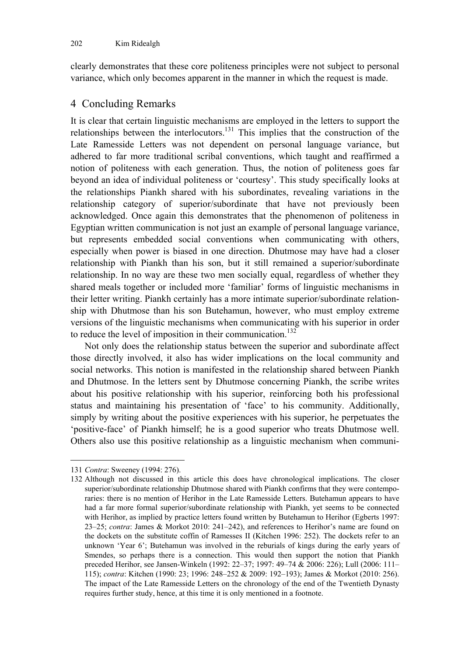clearly demonstrates that these core politeness principles were not subject to personal variance, which only becomes apparent in the manner in which the request is made.

#### 4 Concluding Remarks

It is clear that certain linguistic mechanisms are employed in the letters to support the relationships between the interlocutors.131 This implies that the construction of the Late Ramesside Letters was not dependent on personal language variance, but adhered to far more traditional scribal conventions, which taught and reaffirmed a notion of politeness with each generation. Thus, the notion of politeness goes far beyond an idea of individual politeness or 'courtesy'. This study specifically looks at the relationships Piankh shared with his subordinates, revealing variations in the relationship category of superior/subordinate that have not previously been acknowledged. Once again this demonstrates that the phenomenon of politeness in Egyptian written communication is not just an example of personal language variance, but represents embedded social conventions when communicating with others, especially when power is biased in one direction. Dhutmose may have had a closer relationship with Piankh than his son, but it still remained a superior/subordinate relationship. In no way are these two men socially equal, regardless of whether they shared meals together or included more 'familiar' forms of linguistic mechanisms in their letter writing. Piankh certainly has a more intimate superior/subordinate relationship with Dhutmose than his son Butehamun, however, who must employ extreme versions of the linguistic mechanisms when communicating with his superior in order to reduce the level of imposition in their communication.<sup>132</sup>

Not only does the relationship status between the superior and subordinate affect those directly involved, it also has wider implications on the local community and social networks. This notion is manifested in the relationship shared between Piankh and Dhutmose. In the letters sent by Dhutmose concerning Piankh, the scribe writes about his positive relationship with his superior, reinforcing both his professional status and maintaining his presentation of 'face' to his community. Additionally, simply by writing about the positive experiences with his superior, he perpetuates the 'positive-face' of Piankh himself; he is a good superior who treats Dhutmose well. Others also use this positive relationship as a linguistic mechanism when communi-

<sup>131</sup> *Contra*: Sweeney (1994: 276).

<sup>132</sup> Although not discussed in this article this does have chronological implications. The closer superior/subordinate relationship Dhutmose shared with Piankh confirms that they were contemporaries: there is no mention of Herihor in the Late Ramesside Letters. Butehamun appears to have had a far more formal superior/subordinate relationship with Piankh, yet seems to be connected with Herihor, as implied by practice letters found written by Butehamun to Herihor (Egberts 1997: 23–25; *contra*: James & Morkot 2010: 241–242), and references to Herihor's name are found on the dockets on the substitute coffin of Ramesses II (Kitchen 1996: 252). The dockets refer to an unknown 'Year 6'; Butehamun was involved in the reburials of kings during the early years of Smendes, so perhaps there is a connection. This would then support the notion that Piankh preceded Herihor, see Jansen-Winkeln (1992: 22–37; 1997: 49–74 & 2006: 226); Lull (2006: 111– 115); *contra*: Kitchen (1990: 23; 1996: 248–252 & 2009: 192–193); James & Morkot (2010: 256). The impact of the Late Ramesside Letters on the chronology of the end of the Twentieth Dynasty requires further study, hence, at this time it is only mentioned in a footnote.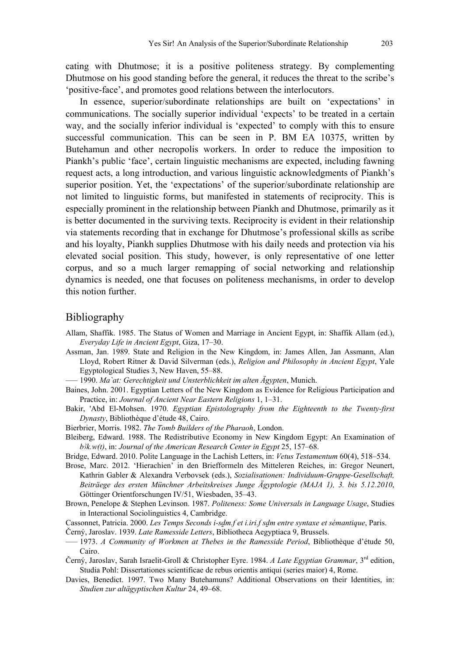cating with Dhutmose; it is a positive politeness strategy. By complementing Dhutmose on his good standing before the general, it reduces the threat to the scribe's 'positive-face', and promotes good relations between the interlocutors.

In essence, superior/subordinate relationships are built on 'expectations' in communications. The socially superior individual 'expects' to be treated in a certain way, and the socially inferior individual is 'expected' to comply with this to ensure successful communication. This can be seen in P. BM EA 10375, written by Butehamun and other necropolis workers. In order to reduce the imposition to Piankh's public 'face', certain linguistic mechanisms are expected, including fawning request acts, a long introduction, and various linguistic acknowledgments of Piankh's superior position. Yet, the 'expectations' of the superior/subordinate relationship are not limited to linguistic forms, but manifested in statements of reciprocity. This is especially prominent in the relationship between Piankh and Dhutmose, primarily as it is better documented in the surviving texts. Reciprocity is evident in their relationship via statements recording that in exchange for Dhutmose's professional skills as scribe and his loyalty, Piankh supplies Dhutmose with his daily needs and protection via his elevated social position. This study, however, is only representative of one letter corpus, and so a much larger remapping of social networking and relationship dynamics is needed, one that focuses on politeness mechanisms, in order to develop this notion further.

#### Bibliography

- Allam, Shaffik. 1985. The Status of Women and Marriage in Ancient Egypt, in: Shaffik Allam (ed.), *Everyday Life in Ancient Egypt*, Giza, 17–30.
- Assman, Jan. 1989. State and Religion in the New Kingdom, in: James Allen, Jan Assmann, Alan Lloyd, Robert Ritner & David Silverman (eds.), *Religion and Philosophy in Ancient Egypt*, Yale Egyptological Studies 3, New Haven, 55–88.

––– 1990. *Ma`at: Gerechtigkeit und Unsterblichkeit im alten Ägypten*, Munich.

- Baines, John. 2001. Egyptian Letters of the New Kingdom as Evidence for Religious Participation and Practice, in: *Journal of Ancient Near Eastern Religions* 1, 1–31.
- Bakir, 'Abd El-Mohsen. 1970. *Egyptian Epistolography from the Eighteenth to the Twenty-first Dynasty*, Bibliothèque d'étude 48, Cairo.
- Bierbrier, Morris. 1982. *The Tomb Builders of the Pharaoh*, London.
- Bleiberg, Edward. 1988. The Redistributive Economy in New Kingdom Egypt: An Examination of *b*<sub>3</sub> $k$ *,w*(*t*), in: *Journal of the American Research Center in Egypt* 25, 157–68.

Bridge, Edward. 2010. Polite Language in the Lachish Letters, in: *Vetus Testamentum* 60(4), 518–534.

- Brose, Marc. 2012. 'Hierachien' in den Briefformeln des Mitteleren Reiches, in: Gregor Neunert, Kathrin Gabler & Alexandra Verbovsek (eds.), *Sozialisationen: Individuum-Gruppe-Gesellschaft, Beiträege des ersten Münchner Arbeitskreises Junge Ägyptologie (MAJA 1), 3. bis 5.12.2010*, Göttinger Orientforschungen IV/51, Wiesbaden, 35–43.
- Brown, Penelope & Stephen Levinson. 1987. *Politeness: Some Universals in Language Usage*, Studies in Interactional Sociolinguistics 4, Cambridge.
- Cassonnet, Patricia. 2000. *Les Temps Seconds i-sdm.f et i.iri.f sdm entre syntaxe et sémantique*, Paris.

Černý, Jaroslav. 1939. *Late Ramesside Letters*, Bibliotheca Aegyptiaca 9, Brussels.

- ––– 1973. *A Community of Workmen at Thebes in the Ramesside Period*, Bibliothèque d'étude 50, Cairo.
- Černý, Jaroslav, Sarah Israelit-Groll & Christopher Eyre. 1984. *A Late Egyptian Grammar*, 3rd edition, Studia Pohl: Dissertationes scientificae de rebus orientis antiqui (series maior) 4, Rome.
- Davies, Benedict. 1997. Two Many Butehamuns? Additional Observations on their Identities, in: *Studien zur altägyptischen Kultur* 24, 49–68.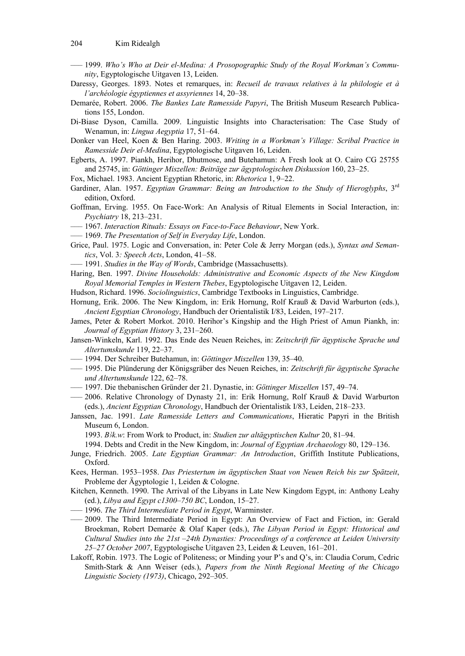- ––– 1999. *Who's Who at Deir el-Medina: A Prosopographic Study of the Royal Workman's Community*, Egyptologische Uitgaven 13, Leiden.
- Daressy, Georges. 1893. Notes et remarques, in: *Recueil de travaux relatives à la philologie et à l'archéologie égyptiennes et assyriennes* 14, 20–38.
- Demarée, Robert. 2006. *The Bankes Late Ramesside Papyri*, The British Museum Research Publications 155, London.
- Di-Biase Dyson, Camilla. 2009. Linguistic Insights into Characterisation: The Case Study of Wenamun, in: *Lingua Aegyptia* 17, 51–64.
- Donker van Heel, Koen & Ben Haring. 2003. *Writing in a Workman's Village: Scribal Practice in Ramesside Deir el-Medina*, Egyptologische Uitgaven 16, Leiden.
- Egberts, A. 1997. Piankh, Herihor, Dhutmose, and Butehamun: A Fresh look at O. Cairo CG 25755 and 25745, in: *Göttinger Miszellen: Beiträge zur ägyptologischen Diskussion* 160, 23–25.
- Fox, Michael. 1983. Ancient Egyptian Rhetoric, in: *Rhetorica* 1, 9–22.
- Gardiner, Alan. 1957. *Egyptian Grammar: Being an Introduction to the Study of Hieroglyphs*, 3rd edition, Oxford.
- Goffman, Erving. 1955. On Face-Work: An Analysis of Ritual Elements in Social Interaction, in: *Psychiatry* 18, 213–231.
- ––– 1967. *Interaction Rituals: Essays on Face-to-Face Behaviour*, New York.
- ––– 1969. *The Presentation of Self in Everyday Life*, London.
- Grice, Paul. 1975. Logic and Conversation, in: Peter Cole & Jerry Morgan (eds.), *Syntax and Semantics*, Vol. 3*: Speech Acts*, London, 41–58.
- ––– 1991. *Studies in the Way of Words*, Cambridge (Massachusetts).
- Haring, Ben. 1997. *Divine Households: Administrative and Economic Aspects of the New Kingdom Royal Memorial Temples in Western Thebes*, Egyptologische Uitgaven 12, Leiden.
- Hudson, Richard. 1996. *Sociolinguistics*, Cambridge Textbooks in Linguistics, Cambridge.
- Hornung, Erik. 2006. The New Kingdom, in: Erik Hornung, Rolf Krauß & David Warburton (eds.), *Ancient Egyptian Chronology*, Handbuch der Orientalistik I/83, Leiden, 197–217.
- James, Peter & Robert Morkot. 2010. Herihor's Kingship and the High Priest of Amun Piankh, in: *Journal of Egyptian History* 3, 231–260.
- Jansen-Winkeln, Karl. 1992. Das Ende des Neuen Reiches, in: *Zeitschrift für ägyptische Sprache und Altertumskunde* 119, 22–37.
- ––– 1994. Der Schreiber Butehamun, in: *Göttinger Miszellen* 139, 35–40.
- ––– 1995. Die Plünderung der Königsgräber des Neuen Reiches, in: *Zeitschrift für ägyptische Sprache und Altertumskunde* 122, 62–78.
- ––– 1997. Die thebanischen Gründer der 21. Dynastie, in: *Göttinger Miszellen* 157, 49–74.
- ––– 2006. Relative Chronology of Dynasty 21, in: Erik Hornung, Rolf Krauß & David Warburton (eds.), *Ancient Egyptian Chronology*, Handbuch der Orientalistik I/83, Leiden, 218–233.
- Janssen, Jac. 1991. *Late Ramesside Letters and Communications*, Hieratic Papyri in the British Museum 6, London.
	- 1993. B<sub>ik.w</sub>: From Work to Product, in: *Studien zur altägyptischen Kultur* 20, 81–94.
	- 1994. Debts and Credit in the New Kingdom, in: *Journal of Egyptian Archaeology* 80, 129–136.
- Junge, Friedrich. 2005. *Late Egyptian Grammar: An Introduction*, Griffith Institute Publications, Oxford.
- Kees, Herman. 1953–1958. *Das Priestertum im ägyptischen Staat von Neuen Reich bis zur Spätzeit*, Probleme der Ägyptologie 1, Leiden & Cologne.
- Kitchen, Kenneth. 1990. The Arrival of the Libyans in Late New Kingdom Egypt, in: Anthony Leahy (ed.), *Libya and Egypt c1300–750 BC*, London, 15–27.
- ––– 1996. *The Third Intermediate Period in Egypt*, Warminster.
- ––– 2009. The Third Intermediate Period in Egypt: An Overview of Fact and Fiction, in: Gerald Broekman, Robert Demarée & Olaf Kaper (eds.), *The Libyan Period in Egypt: Historical and Cultural Studies into the 21st –24th Dynasties: Proceedings of a conference at Leiden University 25–27 October 2007*, Egyptologische Uitgaven 23, Leiden & Leuven, 161–201.
- Lakoff, Robin. 1973. The Logic of Politeness; or Minding your P's and Q's, in: Claudia Corum, Cedric Smith-Stark & Ann Weiser (eds.), *Papers from the Ninth Regional Meeting of the Chicago Linguistic Society (1973)*, Chicago, 292–305.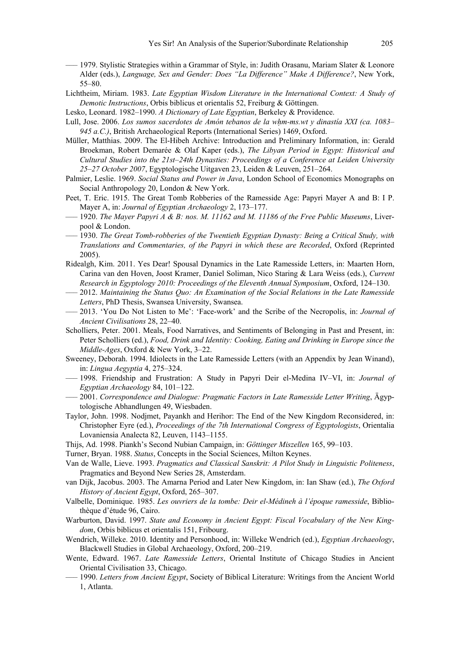- ––– 1979. Stylistic Strategies within a Grammar of Style, in: Judith Orasanu, Mariam Slater & Leonore Alder (eds.), *Language, Sex and Gender: Does "La Difference" Make A Difference?*, New York, 55–80.
- Lichtheim, Miriam. 1983. *Late Egyptian Wisdom Literature in the International Context: A Study of Demotic Instructions*, Orbis biblicus et orientalis 52, Freiburg & Göttingen.
- Lesko, Leonard. 1982–1990. *A Dictionary of Late Egyptian*, Berkeley & Providence.
- Lull, Jose. 2006. *Los sumos sacerdotes de Amón tebanos de la whm-ms.wt y dinastía XXI (ca. 1083– 945 a.C.)*, British Archaeological Reports (International Series) 1469, Oxford.
- Müller, Matthias. 2009. The El-Hibeh Archive: Introduction and Preliminary Information, in: Gerald Broekman, Robert Demarée & Olaf Kaper (eds.), *The Libyan Period in Egypt: Historical and Cultural Studies into the 21st–24th Dynasties: Proceedings of a Conference at Leiden University 25–27 October 2007*, Egyptologische Uitgaven 23, Leiden & Leuven, 251–264.
- Palmier, Leslie. 1969. *Social Status and Power in Java*, London School of Economics Monographs on Social Anthropology 20, London & New York.
- Peet, T. Eric. 1915. The Great Tomb Robberies of the Ramesside Age: Papyri Mayer A and B: I P. Mayer A, in: *Journal of Egyptian Archaeology* 2, 173–177.
- ––– 1920. *The Mayer Papyri A & B: nos. M. 11162 and M. 11186 of the Free Public Museums*, Liverpool & London.
- ––– 1930. *The Great Tomb-robberies of the Twentieth Egyptian Dynasty: Being a Critical Study, with Translations and Commentaries, of the Papyri in which these are Recorded*, Oxford (Reprinted 2005).
- Ridealgh, Kim. 2011. Yes Dear! Spousal Dynamics in the Late Ramesside Letters, in: Maarten Horn, Carina van den Hoven, Joost Kramer, Daniel Soliman, Nico Staring & Lara Weiss (eds.), *Current Research in Egyptology 2010: Proceedings of the Eleventh Annual Symposium*, Oxford, 124–130.
- ––– 2012. *Maintaining the Status Quo: An Examination of the Social Relations in the Late Ramesside Letters*, PhD Thesis, Swansea University, Swansea.
- ––– 2013. 'You Do Not Listen to Me': 'Face-work' and the Scribe of the Necropolis, in: *Journal of Ancient Civilisations* 28, 22–40.
- Scholliers, Peter. 2001. Meals, Food Narratives, and Sentiments of Belonging in Past and Present, in: Peter Scholliers (ed.), *Food, Drink and Identity: Cooking, Eating and Drinking in Europe since the Middle-Ages*, Oxford & New York, 3–22.
- Sweeney, Deborah. 1994. Idiolects in the Late Ramesside Letters (with an Appendix by Jean Winand), in: *Lingua Aegyptia* 4, 275–324.
- ––– 1998. Friendship and Frustration: A Study in Papyri Deir el-Medina IV–VI, in: *Journal of Egyptian Archaeology* 84, 101–122.
- ––– 2001. *Correspondence and Dialogue: Pragmatic Factors in Late Ramesside Letter Writing*, Ägyptologische Abhandlungen 49, Wiesbaden.
- Taylor, John. 1998. Nodjmet, Payankh and Herihor: The End of the New Kingdom Reconsidered, in: Christopher Eyre (ed.), *Proceedings of the 7th International Congress of Egyptologists*, Orientalia Lovaniensia Analecta 82, Leuven, 1143–1155.
- Thijs, Ad. 1998. Piankh's Second Nubian Campaign, in: *Göttinger Miszellen* 165, 99–103.
- Turner, Bryan. 1988. *Status*, Concepts in the Social Sciences, Milton Keynes.
- Van de Walle, Lieve. 1993. *Pragmatics and Classical Sanskrit: A Pilot Study in Linguistic Politeness*, Pragmatics and Beyond New Series 28, Amsterdam.
- van Dijk, Jacobus. 2003. The Amarna Period and Later New Kingdom, in: Ian Shaw (ed.), *The Oxford History of Ancient Egypt*, Oxford, 265–307.
- Valbelle, Dominique. 1985. *Les ouvriers de la tombe: Deir el-Médineh à l'époque ramesside*, Bibliothèque d'étude 96, Cairo.
- Warburton, David. 1997. *State and Economy in Ancient Egypt: Fiscal Vocabulary of the New Kingdom*, Orbis biblicus et orientalis 151, Fribourg.
- Wendrich, Willeke. 2010. Identity and Personhood, in: Willeke Wendrich (ed.), *Egyptian Archaeology*, Blackwell Studies in Global Archaeology, Oxford, 200–219.
- Wente, Edward. 1967. *Late Ramesside Letters*, Oriental Institute of Chicago Studies in Ancient Oriental Civilisation 33, Chicago.
- ––– 1990. *Letters from Ancient Egypt*, Society of Biblical Literature: Writings from the Ancient World 1, Atlanta.